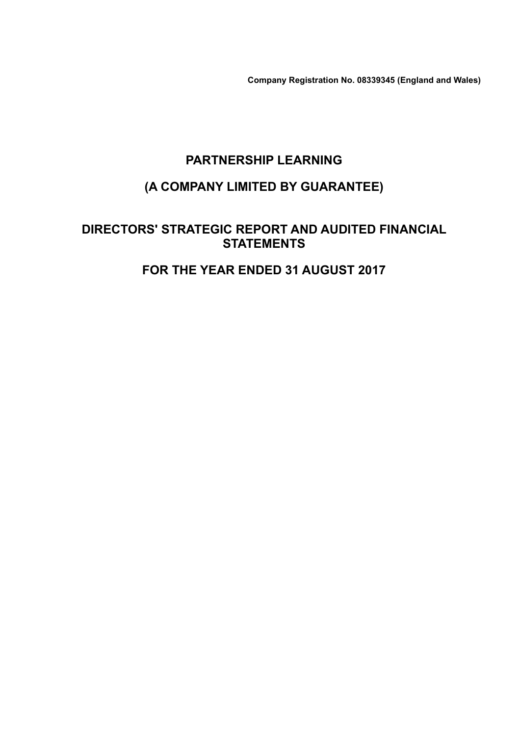Company Registration No. 08339345 (England and Wales)

# PARTNERSHIP LEARNING

# (A COMPANY LIMITED BY GUARANTEE)

### DIRECTORS' STRATEGIC REPORT AND AUDITED FINANCIAL **STATEMENTS**

## FOR THE YEAR ENDED 31 AUGUST 2017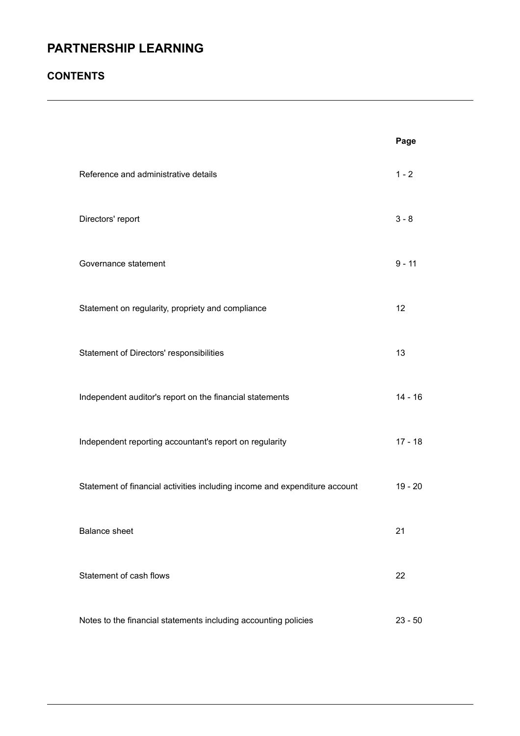### **CONTENTS**

|                                                                            | Page      |
|----------------------------------------------------------------------------|-----------|
| Reference and administrative details                                       | $1 - 2$   |
| Directors' report                                                          | $3 - 8$   |
| Governance statement                                                       | $9 - 11$  |
| Statement on regularity, propriety and compliance                          | 12        |
| Statement of Directors' responsibilities                                   | 13        |
| Independent auditor's report on the financial statements                   | $14 - 16$ |
| Independent reporting accountant's report on regularity                    | $17 - 18$ |
| Statement of financial activities including income and expenditure account | $19 - 20$ |
| <b>Balance sheet</b>                                                       | 21        |
| Statement of cash flows                                                    | 22        |
| Notes to the financial statements including accounting policies            | $23 - 50$ |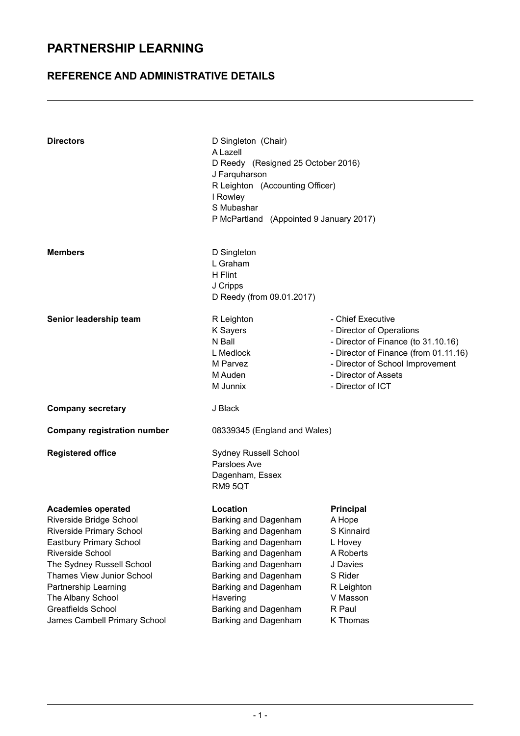### REFERENCE AND ADMINISTRATIVE DETAILS

| <b>Directors</b>                                                 | D Singleton (Chair)                     |                                       |  |  |
|------------------------------------------------------------------|-----------------------------------------|---------------------------------------|--|--|
|                                                                  | A Lazell                                |                                       |  |  |
|                                                                  | D Reedy (Resigned 25 October 2016)      |                                       |  |  |
|                                                                  | J Farquharson                           |                                       |  |  |
|                                                                  | R Leighton (Accounting Officer)         |                                       |  |  |
|                                                                  | I Rowley                                |                                       |  |  |
|                                                                  | S Mubashar                              |                                       |  |  |
|                                                                  | P McPartland (Appointed 9 January 2017) |                                       |  |  |
| <b>Members</b>                                                   | D Singleton                             |                                       |  |  |
|                                                                  | L Graham                                |                                       |  |  |
|                                                                  | H Flint                                 |                                       |  |  |
|                                                                  | J Cripps                                |                                       |  |  |
|                                                                  | D Reedy (from 09.01.2017)               |                                       |  |  |
| Senior leadership team                                           | R Leighton                              | - Chief Executive                     |  |  |
|                                                                  | K Sayers                                | - Director of Operations              |  |  |
|                                                                  | N Ball                                  | - Director of Finance (to 31.10.16)   |  |  |
|                                                                  | L Medlock                               | - Director of Finance (from 01.11.16) |  |  |
|                                                                  | M Parvez                                | - Director of School Improvement      |  |  |
|                                                                  | M Auden                                 | - Director of Assets                  |  |  |
|                                                                  | M Junnix                                | - Director of ICT                     |  |  |
| <b>Company secretary</b>                                         | J Black                                 |                                       |  |  |
| <b>Company registration number</b>                               | 08339345 (England and Wales)            |                                       |  |  |
| <b>Registered office</b>                                         | Sydney Russell School                   |                                       |  |  |
|                                                                  | Parsloes Ave                            |                                       |  |  |
|                                                                  | Dagenham, Essex                         |                                       |  |  |
|                                                                  | RM95QT                                  |                                       |  |  |
| <b>Academies operated</b>                                        | Location                                | <b>Principal</b>                      |  |  |
| Riverside Bridge School                                          | Barking and Dagenham                    | A Hope                                |  |  |
| Riverside Primary School                                         | Barking and Dagenham                    | S Kinnaird                            |  |  |
| Eastbury Primary School                                          | Barking and Dagenham                    | L Hovey                               |  |  |
| Riverside School                                                 | Barking and Dagenham                    | A Roberts                             |  |  |
| The Sydney Russell School                                        | Barking and Dagenham                    | J Davies                              |  |  |
| <b>Thames View Junior School</b>                                 | Barking and Dagenham                    | S Rider                               |  |  |
| Partnership Learning                                             | Barking and Dagenham                    | R Leighton                            |  |  |
| The Albany School                                                | Havering                                | V Masson                              |  |  |
| <b>Greatfields School</b>                                        | Barking and Dagenham                    | R Paul                                |  |  |
| James Cambell Primary School<br>Barking and Dagenham<br>K Thomas |                                         |                                       |  |  |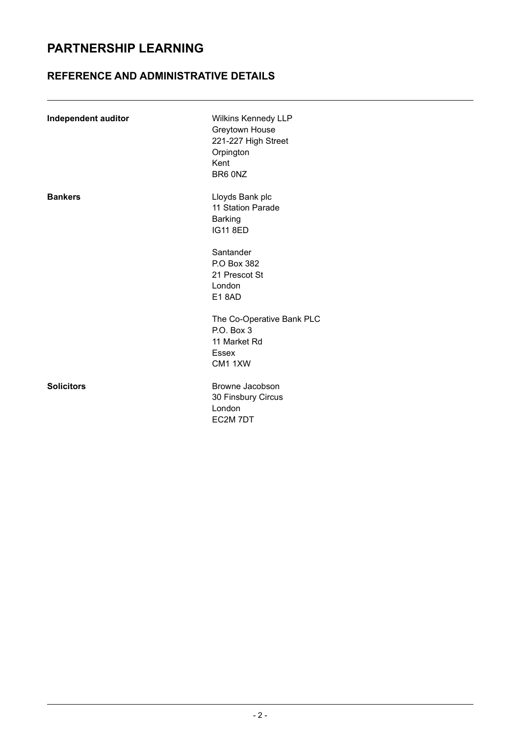### REFERENCE AND ADMINISTRATIVE DETAILS

| Independent auditor | <b>Wilkins Kennedy LLP</b><br>Greytown House<br>221-227 High Street<br>Orpington<br>Kent<br>BR6 0NZ |
|---------------------|-----------------------------------------------------------------------------------------------------|
| <b>Bankers</b>      | Lloyds Bank plc<br>11 Station Parade<br><b>Barking</b><br><b>IG11 8ED</b>                           |
|                     | Santander<br>P.O Box 382<br>21 Prescot St<br>London<br>E18AD                                        |
|                     | The Co-Operative Bank PLC<br>P.O. Box 3<br>11 Market Rd<br><b>Essex</b><br>CM1 1XW                  |
| <b>Solicitors</b>   | Browne Jacobson<br>30 Finsbury Circus<br>London<br>EC2M 7DT                                         |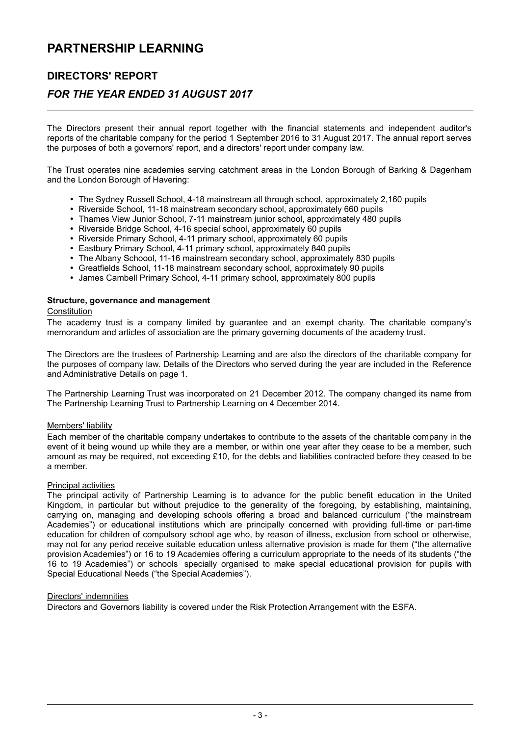### DIRECTORS' REPORT

### FOR THE YEAR ENDED 31 AUGUST 2017

The Directors present their annual report together with the financial statements and independent auditor's reports of the charitable company for the period 1 September 2016 to 31 August 2017. The annual report serves the purposes of both a governors' report, and a directors' report under company law.

The Trust operates nine academies serving catchment areas in the London Borough of Barking & Dagenham and the London Borough of Havering:

- The Sydney Russell School, 4-18 mainstream all through school, approximately 2,160 pupils
- Riverside School, 11-18 mainstream secondary school, approximately 660 pupils
- Thames View Junior School, 7-11 mainstream junior school, approximately 480 pupils
- Riverside Bridge School, 4-16 special school, approximately 60 pupils
- Riverside Primary School, 4-11 primary school, approximately 60 pupils
- Eastbury Primary School, 4-11 primary school, approximately 840 pupils
- The Albany Schoool, 11-16 mainstream secondary school, approximately 830 pupils
- Greatfields School, 11-18 mainstream secondary school, approximately 90 pupils
- James Cambell Primary School, 4-11 primary school, approximately 800 pupils

#### Structure, governance and management

#### **Constitution**

The academy trust is a company limited by guarantee and an exempt charity. The charitable company's memorandum and articles of association are the primary governing documents of the academy trust.

The Directors are the trustees of Partnership Learning and are also the directors of the charitable company for the purposes of company law. Details of the Directors who served during the year are included in the Reference and Administrative Details on page 1.

The Partnership Learning Trust was incorporated on 21 December 2012. The company changed its name from The Partnership Learning Trust to Partnership Learning on 4 December 2014.

#### Members' liability

Each member of the charitable company undertakes to contribute to the assets of the charitable company in the event of it being wound up while they are a member, or within one year after they cease to be a member, such amount as may be required, not exceeding £10, for the debts and liabilities contracted before they ceased to be a member.

#### Principal activities

The principal activity of Partnership Learning is to advance for the public benefit education in the United Kingdom, in particular but without prejudice to the generality of the foregoing, by establishing, maintaining, carrying on, managing and developing schools offering a broad and balanced curriculum ("the mainstream Academies") or educational institutions which are principally concerned with providing full-time or part-time education for children of compulsory school age who, by reason of illness, exclusion from school or otherwise, may not for any period receive suitable education unless alternative provision is made for them ("the alternative provision Academies") or 16 to 19 Academies offering a curriculum appropriate to the needs of its students ("the 16 to 19 Academies") or schools specially organised to make special educational provision for pupils with Special Educational Needs ("the Special Academies").

#### Directors' indemnities

Directors and Governors liability is covered under the Risk Protection Arrangement with the ESFA.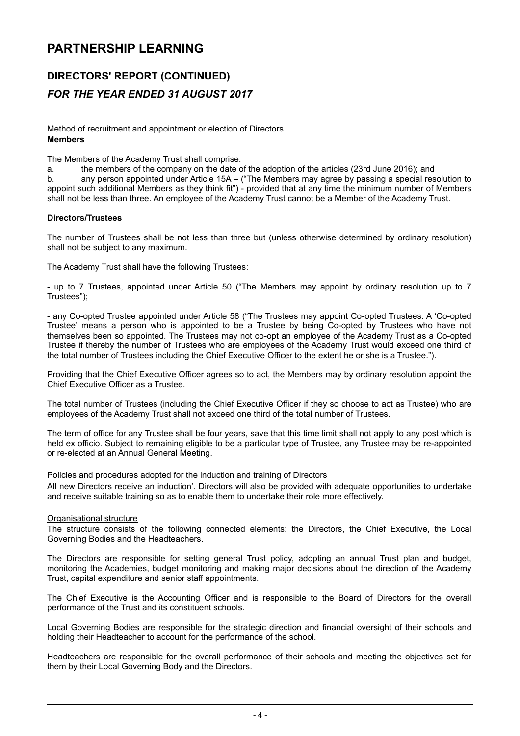### DIRECTORS' REPORT (CONTINUED) FOR THE YEAR ENDED 31 AUGUST 2017

#### Method of recruitment and appointment or election of Directors Members

The Members of the Academy Trust shall comprise:

a. the members of the company on the date of the adoption of the articles (23rd June 2016); and b. any person appointed under Article 15A – ("The Members may agree by passing a special resolution to appoint such additional Members as they think fit") - provided that at any time the minimum number of Members shall not be less than three. An employee of the Academy Trust cannot be a Member of the Academy Trust.

#### Directors/Trustees

The number of Trustees shall be not less than three but (unless otherwise determined by ordinary resolution) shall not be subject to any maximum.

The Academy Trust shall have the following Trustees:

- up to 7 Trustees, appointed under Article 50 ("The Members may appoint by ordinary resolution up to 7 Trustees");

- any Co-opted Trustee appointed under Article 58 ("The Trustees may appoint Co-opted Trustees. A 'Co-opted Trustee' means a person who is appointed to be a Trustee by being Co-opted by Trustees who have not themselves been so appointed. The Trustees may not co-opt an employee of the Academy Trust as a Co-opted Trustee if thereby the number of Trustees who are employees of the Academy Trust would exceed one third of the total number of Trustees including the Chief Executive Officer to the extent he or she is a Trustee.").

Providing that the Chief Executive Officer agrees so to act, the Members may by ordinary resolution appoint the Chief Executive Officer as a Trustee.

The total number of Trustees (including the Chief Executive Officer if they so choose to act as Trustee) who are employees of the Academy Trust shall not exceed one third of the total number of Trustees.

The term of office for any Trustee shall be four years, save that this time limit shall not apply to any post which is held ex officio. Subject to remaining eligible to be a particular type of Trustee, any Trustee may be re-appointed or re-elected at an Annual General Meeting.

#### Policies and procedures adopted for the induction and training of Directors

All new Directors receive an induction'. Directors will also be provided with adequate opportunities to undertake and receive suitable training so as to enable them to undertake their role more effectively.

#### Organisational structure

The structure consists of the following connected elements: the Directors, the Chief Executive, the Local Governing Bodies and the Headteachers.

The Directors are responsible for setting general Trust policy, adopting an annual Trust plan and budget, monitoring the Academies, budget monitoring and making major decisions about the direction of the Academy Trust, capital expenditure and senior staff appointments.

The Chief Executive is the Accounting Officer and is responsible to the Board of Directors for the overall performance of the Trust and its constituent schools.

Local Governing Bodies are responsible for the strategic direction and financial oversight of their schools and holding their Headteacher to account for the performance of the school.

Headteachers are responsible for the overall performance of their schools and meeting the objectives set for them by their Local Governing Body and the Directors.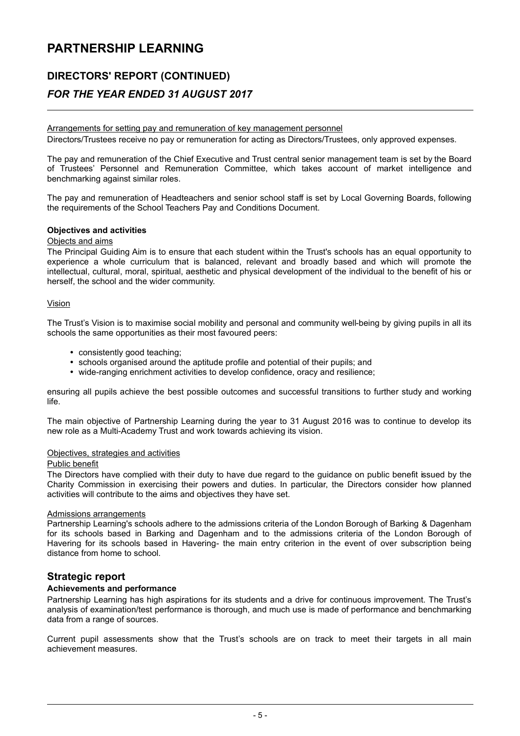### DIRECTORS' REPORT (CONTINUED)

### FOR THE YEAR ENDED 31 AUGUST 2017

Arrangements for setting pay and remuneration of key management personnel

Directors/Trustees receive no pay or remuneration for acting as Directors/Trustees, only approved expenses.

The pay and remuneration of the Chief Executive and Trust central senior management team is set by the Board of Trustees' Personnel and Remuneration Committee, which takes account of market intelligence and benchmarking against similar roles.

The pay and remuneration of Headteachers and senior school staff is set by Local Governing Boards, following the requirements of the School Teachers Pay and Conditions Document.

#### Objectives and activities

#### Objects and aims

The Principal Guiding Aim is to ensure that each student within the Trust's schools has an equal opportunity to experience a whole curriculum that is balanced, relevant and broadly based and which will promote the intellectual, cultural, moral, spiritual, aesthetic and physical development of the individual to the benefit of his or herself, the school and the wider community.

#### Vision

The Trust's Vision is to maximise social mobility and personal and community well-being by giving pupils in all its schools the same opportunities as their most favoured peers:

- consistently good teaching;
- schools organised around the aptitude profile and potential of their pupils; and
- wide-ranging enrichment activities to develop confidence, oracy and resilience;

ensuring all pupils achieve the best possible outcomes and successful transitions to further study and working life.

The main objective of Partnership Learning during the year to 31 August 2016 was to continue to develop its new role as a Multi-Academy Trust and work towards achieving its vision.

#### Objectives, strategies and activities

#### Public benefit

The Directors have complied with their duty to have due regard to the guidance on public benefit issued by the Charity Commission in exercising their powers and duties. In particular, the Directors consider how planned activities will contribute to the aims and objectives they have set.

#### Admissions arrangements

Partnership Learning's schools adhere to the admissions criteria of the London Borough of Barking & Dagenham for its schools based in Barking and Dagenham and to the admissions criteria of the London Borough of Havering for its schools based in Havering- the main entry criterion in the event of over subscription being distance from home to school.

### Strategic report

#### Achievements and performance

Partnership Learning has high aspirations for its students and a drive for continuous improvement. The Trust's analysis of examination/test performance is thorough, and much use is made of performance and benchmarking data from a range of sources.

Current pupil assessments show that the Trust's schools are on track to meet their targets in all main achievement measures.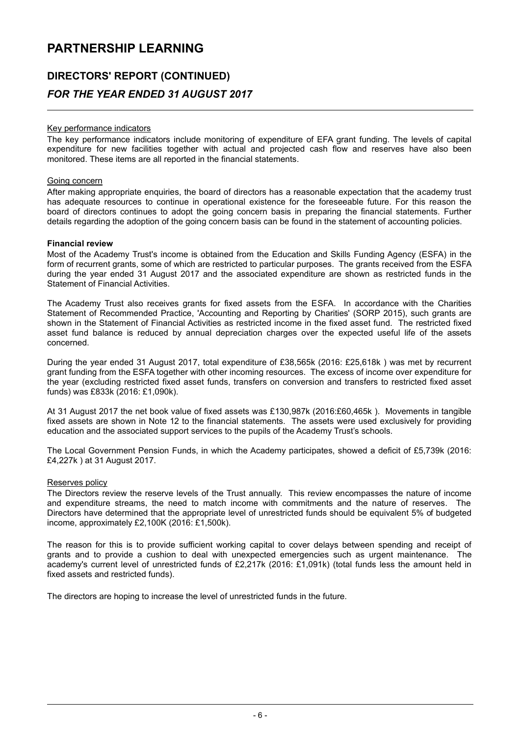### DIRECTORS' REPORT (CONTINUED) FOR THE YEAR ENDED 31 AUGUST 2017

#### Key performance indicators

The key performance indicators include monitoring of expenditure of EFA grant funding. The levels of capital expenditure for new facilities together with actual and projected cash flow and reserves have also been monitored. These items are all reported in the financial statements.

#### Going concern

After making appropriate enquiries, the board of directors has a reasonable expectation that the academy trust has adequate resources to continue in operational existence for the foreseeable future. For this reason the board of directors continues to adopt the going concern basis in preparing the financial statements. Further details regarding the adoption of the going concern basis can be found in the statement of accounting policies.

#### Financial review

Most of the Academy Trust's income is obtained from the Education and Skills Funding Agency (ESFA) in the form of recurrent grants, some of which are restricted to particular purposes. The grants received from the ESFA during the year ended 31 August 2017 and the associated expenditure are shown as restricted funds in the Statement of Financial Activities.

The Academy Trust also receives grants for fixed assets from the ESFA. In accordance with the Charities Statement of Recommended Practice, 'Accounting and Reporting by Charities' (SORP 2015), such grants are shown in the Statement of Financial Activities as restricted income in the fixed asset fund. The restricted fixed asset fund balance is reduced by annual depreciation charges over the expected useful life of the assets concerned.

During the year ended 31 August 2017, total expenditure of £38,565k (2016: £25,618k ) was met by recurrent grant funding from the ESFA together with other incoming resources. The excess of income over expenditure for the year (excluding restricted fixed asset funds, transfers on conversion and transfers to restricted fixed asset funds) was £833k (2016: £1,090k).

At 31 August 2017 the net book value of fixed assets was £130,987k (2016:£60,465k ). Movements in tangible fixed assets are shown in Note 12 to the financial statements. The assets were used exclusively for providing education and the associated support services to the pupils of the Academy Trust's schools.

The Local Government Pension Funds, in which the Academy participates, showed a deficit of £5,739k (2016: £4,227k ) at 31 August 2017.

#### Reserves policy

The Directors review the reserve levels of the Trust annually. This review encompasses the nature of income and expenditure streams, the need to match income with commitments and the nature of reserves. The Directors have determined that the appropriate level of unrestricted funds should be equivalent 5% of budgeted income, approximately £2,100K (2016: £1,500k).

The reason for this is to provide sufficient working capital to cover delays between spending and receipt of grants and to provide a cushion to deal with unexpected emergencies such as urgent maintenance. The academy's current level of unrestricted funds of £2,217k (2016: £1,091k) (total funds less the amount held in fixed assets and restricted funds).

The directors are hoping to increase the level of unrestricted funds in the future.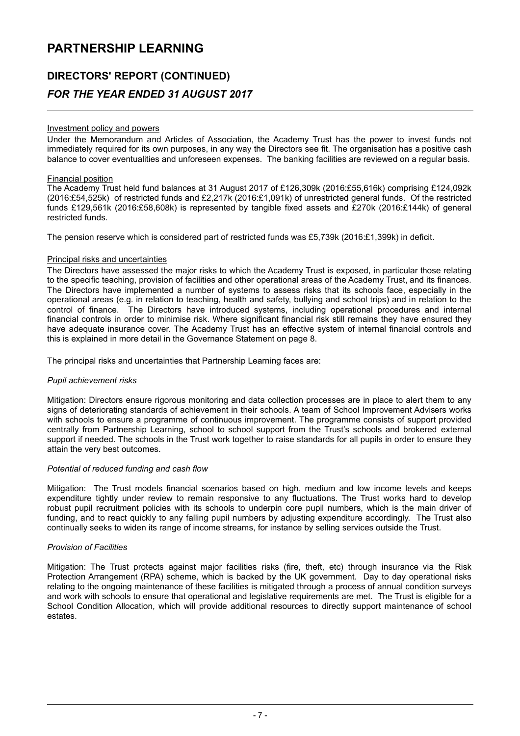# DIRECTORS' REPORT (CONTINUED) FOR THE YEAR ENDED 31 AUGUST 2017

#### Investment policy and powers

Under the Memorandum and Articles of Association, the Academy Trust has the power to invest funds not immediately required for its own purposes, in any way the Directors see fit. The organisation has a positive cash balance to cover eventualities and unforeseen expenses. The banking facilities are reviewed on a regular basis.

#### Financial position

The Academy Trust held fund balances at 31 August 2017 of £126,309k (2016:£55,616k) comprising £124,092k (2016:£54,525k) of restricted funds and £2,217k (2016:£1,091k) of unrestricted general funds. Of the restricted funds £129,561k (2016:£58,608k) is represented by tangible fixed assets and £270k (2016:£144k) of general restricted funds.

The pension reserve which is considered part of restricted funds was £5,739k (2016:£1,399k) in deficit.

#### Principal risks and uncertainties

The Directors have assessed the major risks to which the Academy Trust is exposed, in particular those relating to the specific teaching, provision of facilities and other operational areas of the Academy Trust, and its finances. The Directors have implemented a number of systems to assess risks that its schools face, especially in the operational areas (e.g. in relation to teaching, health and safety, bullying and school trips) and in relation to the control of finance. The Directors have introduced systems, including operational procedures and internal financial controls in order to minimise risk. Where significant financial risk still remains they have ensured they have adequate insurance cover. The Academy Trust has an effective system of internal financial controls and this is explained in more detail in the Governance Statement on page 8.

The principal risks and uncertainties that Partnership Learning faces are:

#### Pupil achievement risks

Mitigation: Directors ensure rigorous monitoring and data collection processes are in place to alert them to any signs of deteriorating standards of achievement in their schools. A team of School Improvement Advisers works with schools to ensure a programme of continuous improvement. The programme consists of support provided centrally from Partnership Learning, school to school support from the Trust's schools and brokered external support if needed. The schools in the Trust work together to raise standards for all pupils in order to ensure they attain the very best outcomes.

#### Potential of reduced funding and cash flow

Mitigation: The Trust models financial scenarios based on high, medium and low income levels and keeps expenditure tightly under review to remain responsive to any fluctuations. The Trust works hard to develop robust pupil recruitment policies with its schools to underpin core pupil numbers, which is the main driver of funding, and to react quickly to any falling pupil numbers by adjusting expenditure accordingly. The Trust also continually seeks to widen its range of income streams, for instance by selling services outside the Trust.

#### Provision of Facilities

Mitigation: The Trust protects against major facilities risks (fire, theft, etc) through insurance via the Risk Protection Arrangement (RPA) scheme, which is backed by the UK government. Day to day operational risks relating to the ongoing maintenance of these facilities is mitigated through a process of annual condition surveys and work with schools to ensure that operational and legislative requirements are met. The Trust is eligible for a School Condition Allocation, which will provide additional resources to directly support maintenance of school estates.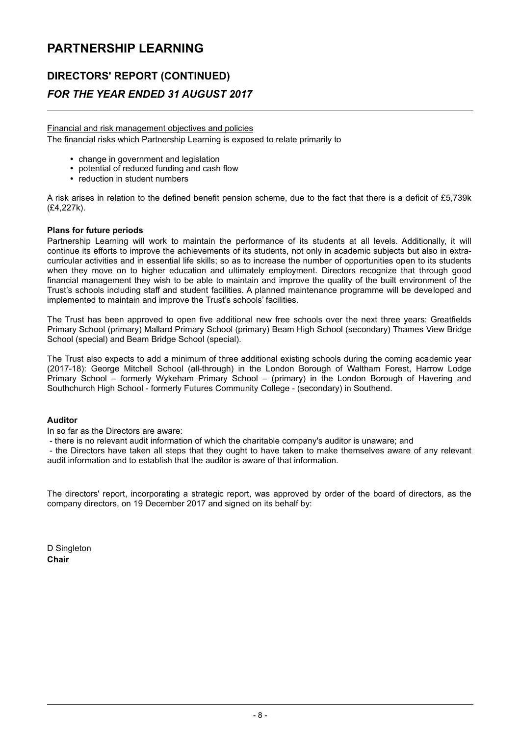### DIRECTORS' REPORT (CONTINUED)

### FOR THE YEAR ENDED 31 AUGUST 2017

Financial and risk management objectives and policies The financial risks which Partnership Learning is exposed to relate primarily to

- change in government and legislation
- potential of reduced funding and cash flow
- reduction in student numbers

A risk arises in relation to the defined benefit pension scheme, due to the fact that there is a deficit of £5,739k (£4,227k).

#### Plans for future periods

Partnership Learning will work to maintain the performance of its students at all levels. Additionally, it will continue its efforts to improve the achievements of its students, not only in academic subjects but also in extracurricular activities and in essential life skills; so as to increase the number of opportunities open to its students when they move on to higher education and ultimately employment. Directors recognize that through good financial management they wish to be able to maintain and improve the quality of the built environment of the Trust's schools including staff and student facilities. A planned maintenance programme will be developed and implemented to maintain and improve the Trust's schools' facilities.

The Trust has been approved to open five additional new free schools over the next three years: Greatfields Primary School (primary) Mallard Primary School (primary) Beam High School (secondary) Thames View Bridge School (special) and Beam Bridge School (special).

The Trust also expects to add a minimum of three additional existing schools during the coming academic year (2017-18): George Mitchell School (all-through) in the London Borough of Waltham Forest, Harrow Lodge Primary School – formerly Wykeham Primary School – (primary) in the London Borough of Havering and Southchurch High School - formerly Futures Community College - (secondary) in Southend.

#### Auditor

In so far as the Directors are aware:

- there is no relevant audit information of which the charitable company's auditor is unaware; and

- the Directors have taken all steps that they ought to have taken to make themselves aware of any relevant audit information and to establish that the auditor is aware of that information.

The directors' report, incorporating a strategic report, was approved by order of the board of directors, as the company directors, on 19 December 2017 and signed on its behalf by:

D Singleton Chair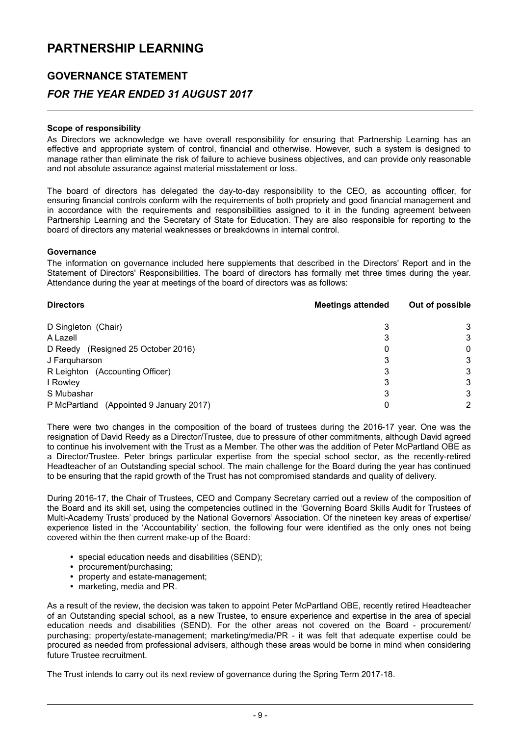# GOVERNANCE STATEMENT

### FOR THE YEAR ENDED 31 AUGUST 2017

#### Scope of responsibility

As Directors we acknowledge we have overall responsibility for ensuring that Partnership Learning has an effective and appropriate system of control, financial and otherwise. However, such a system is designed to manage rather than eliminate the risk of failure to achieve business objectives, and can provide only reasonable and not absolute assurance against material misstatement or loss.

The board of directors has delegated the day-to-day responsibility to the CEO, as accounting officer, for ensuring financial controls conform with the requirements of both propriety and good financial management and in accordance with the requirements and responsibilities assigned to it in the funding agreement between Partnership Learning and the Secretary of State for Education. They are also responsible for reporting to the board of directors any material weaknesses or breakdowns in internal control.

#### **Governance**

The information on governance included here supplements that described in the Directors' Report and in the Statement of Directors' Responsibilities. The board of directors has formally met three times during the year. Attendance during the year at meetings of the board of directors was as follows:

| <b>Directors</b>                        | <b>Meetings attended</b> | Out of possible |
|-----------------------------------------|--------------------------|-----------------|
| D Singleton (Chair)                     |                          | 3               |
| A Lazell                                |                          | 3               |
| D Reedy (Resigned 25 October 2016)      | 0                        | 0               |
| J Farguharson                           |                          | 3               |
| R Leighton (Accounting Officer)         |                          | 3               |
| I Rowley                                |                          | 3               |
| S Mubashar                              | 3                        | 3               |
| P McPartland (Appointed 9 January 2017) |                          | 2               |

There were two changes in the composition of the board of trustees during the 2016-17 year. One was the resignation of David Reedy as a Director/Trustee, due to pressure of other commitments, although David agreed to continue his involvement with the Trust as a Member. The other was the addition of Peter McPartland OBE as a Director/Trustee. Peter brings particular expertise from the special school sector, as the recently-retired Headteacher of an Outstanding special school. The main challenge for the Board during the year has continued to be ensuring that the rapid growth of the Trust has not compromised standards and quality of delivery.

During 2016-17, the Chair of Trustees, CEO and Company Secretary carried out a review of the composition of the Board and its skill set, using the competencies outlined in the 'Governing Board Skills Audit for Trustees of Multi-Academy Trusts' produced by the National Governors' Association. Of the nineteen key areas of expertise/ experience listed in the 'Accountability' section, the following four were identified as the only ones not being covered within the then current make-up of the Board:

- special education needs and disabilities (SEND);
- procurement/purchasing;
- property and estate-management;
- marketing, media and PR.

As a result of the review, the decision was taken to appoint Peter McPartland OBE, recently retired Headteacher of an Outstanding special school, as a new Trustee, to ensure experience and expertise in the area of special education needs and disabilities (SEND). For the other areas not covered on the Board - procurement/ purchasing; property/estate-management; marketing/media/PR - it was felt that adequate expertise could be procured as needed from professional advisers, although these areas would be borne in mind when considering future Trustee recruitment.

The Trust intends to carry out its next review of governance during the Spring Term 2017-18.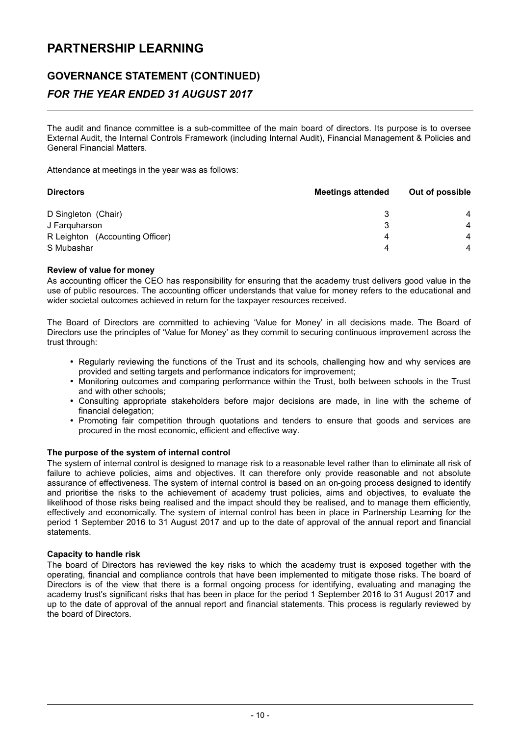### GOVERNANCE STATEMENT (CONTINUED)

### FOR THE YEAR ENDED 31 AUGUST 2017

The audit and finance committee is a sub-committee of the main board of directors. Its purpose is to oversee External Audit, the Internal Controls Framework (including Internal Audit), Financial Management & Policies and General Financial Matters.

Attendance at meetings in the year was as follows:

| <b>Directors</b>                | <b>Meetings attended</b> | Out of possible |  |
|---------------------------------|--------------------------|-----------------|--|
| D Singleton (Chair)             | 3                        | $\overline{4}$  |  |
| J Farguharson                   | 3                        | 4               |  |
| R Leighton (Accounting Officer) | 4                        | 4               |  |
| S Mubashar                      | 4                        | 4               |  |

#### Review of value for money

As accounting officer the CEO has responsibility for ensuring that the academy trust delivers good value in the use of public resources. The accounting officer understands that value for money refers to the educational and wider societal outcomes achieved in return for the taxpayer resources received.

The Board of Directors are committed to achieving ʻValue for Money' in all decisions made. The Board of Directors use the principles of ʻValue for Money' as they commit to securing continuous improvement across the trust through:

- Regularly reviewing the functions of the Trust and its schools, challenging how and why services are provided and setting targets and performance indicators for improvement;
- Monitoring outcomes and comparing performance within the Trust, both between schools in the Trust and with other schools;
- Consulting appropriate stakeholders before major decisions are made, in line with the scheme of financial delegation;
- Promoting fair competition through quotations and tenders to ensure that goods and services are procured in the most economic, efficient and effective way.

#### The purpose of the system of internal control

The system of internal control is designed to manage risk to a reasonable level rather than to eliminate all risk of failure to achieve policies, aims and objectives. It can therefore only provide reasonable and not absolute assurance of effectiveness. The system of internal control is based on an on-going process designed to identify and prioritise the risks to the achievement of academy trust policies, aims and objectives, to evaluate the likelihood of those risks being realised and the impact should they be realised, and to manage them efficiently, effectively and economically. The system of internal control has been in place in Partnership Learning for the period 1 September 2016 to 31 August 2017 and up to the date of approval of the annual report and financial statements.

#### Capacity to handle risk

The board of Directors has reviewed the key risks to which the academy trust is exposed together with the operating, financial and compliance controls that have been implemented to mitigate those risks. The board of Directors is of the view that there is a formal ongoing process for identifying, evaluating and managing the academy trust's significant risks that has been in place for the period 1 September 2016 to 31 August 2017 and up to the date of approval of the annual report and financial statements. This process is regularly reviewed by the board of Directors.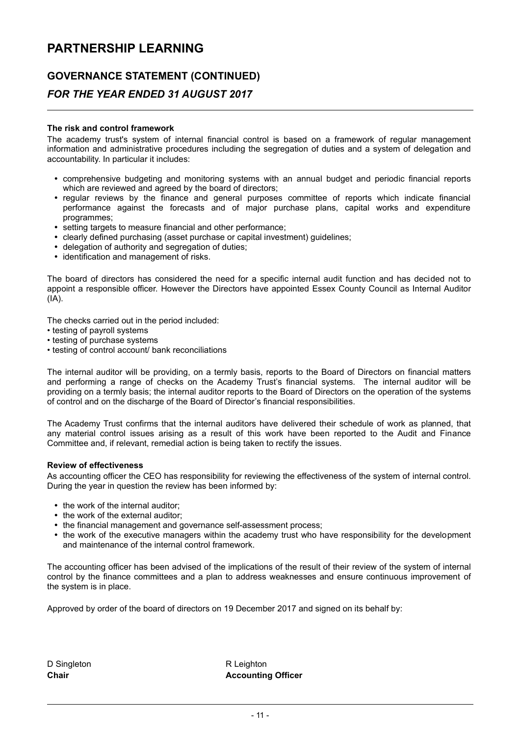### GOVERNANCE STATEMENT (CONTINUED)

### FOR THE YEAR ENDED 31 AUGUST 2017

#### The risk and control framework

The academy trust's system of internal financial control is based on a framework of regular management information and administrative procedures including the segregation of duties and a system of delegation and accountability. In particular it includes:

- comprehensive budgeting and monitoring systems with an annual budget and periodic financial reports which are reviewed and agreed by the board of directors;
- regular reviews by the finance and general purposes committee of reports which indicate financial performance against the forecasts and of major purchase plans, capital works and expenditure programmes;
- setting targets to measure financial and other performance;
- clearly defined purchasing (asset purchase or capital investment) guidelines;
- delegation of authority and segregation of duties;
- identification and management of risks.

The board of directors has considered the need for a specific internal audit function and has decided not to appoint a responsible officer. However the Directors have appointed Essex County Council as Internal Auditor  $(IA)$ .

The checks carried out in the period included:

- testing of payroll systems
- testing of purchase systems
- testing of control account/ bank reconciliations

The internal auditor will be providing, on a termly basis, reports to the Board of Directors on financial matters and performing a range of checks on the Academy Trust's financial systems. The internal auditor will be providing on a termly basis; the internal auditor reports to the Board of Directors on the operation of the systems of control and on the discharge of the Board of Director's financial responsibilities.

The Academy Trust confirms that the internal auditors have delivered their schedule of work as planned, that any material control issues arising as a result of this work have been reported to the Audit and Finance Committee and, if relevant, remedial action is being taken to rectify the issues.

#### Review of effectiveness

As accounting officer the CEO has responsibility for reviewing the effectiveness of the system of internal control. During the year in question the review has been informed by:

- the work of the internal auditor;
- the work of the external auditor;
- the financial management and governance self-assessment process;
- the work of the executive managers within the academy trust who have responsibility for the development and maintenance of the internal control framework.

The accounting officer has been advised of the implications of the result of their review of the system of internal control by the finance committees and a plan to address weaknesses and ensure continuous improvement of the system is in place.

Approved by order of the board of directors on 19 December 2017 and signed on its behalf by:

D Singleton R Leighton

Chair **Chair Chair Accounting Officer**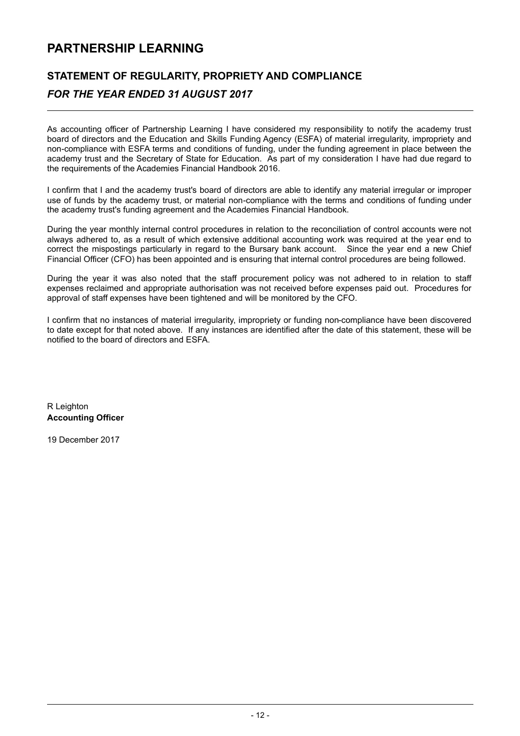### STATEMENT OF REGULARITY, PROPRIETY AND COMPLIANCE

### FOR THE YEAR ENDED 31 AUGUST 2017

As accounting officer of Partnership Learning I have considered my responsibility to notify the academy trust board of directors and the Education and Skills Funding Agency (ESFA) of material irregularity, impropriety and non-compliance with ESFA terms and conditions of funding, under the funding agreement in place between the academy trust and the Secretary of State for Education. As part of my consideration I have had due regard to the requirements of the Academies Financial Handbook 2016.

I confirm that I and the academy trust's board of directors are able to identify any material irregular or improper use of funds by the academy trust, or material non-compliance with the terms and conditions of funding under the academy trust's funding agreement and the Academies Financial Handbook.

During the year monthly internal control procedures in relation to the reconciliation of control accounts were not always adhered to, as a result of which extensive additional accounting work was required at the year end to correct the mispostings particularly in regard to the Bursary bank account. Since the year end a new Chief Financial Officer (CFO) has been appointed and is ensuring that internal control procedures are being followed.

During the year it was also noted that the staff procurement policy was not adhered to in relation to staff expenses reclaimed and appropriate authorisation was not received before expenses paid out. Procedures for approval of staff expenses have been tightened and will be monitored by the CFO.

I confirm that no instances of material irregularity, impropriety or funding non-compliance have been discovered to date except for that noted above. If any instances are identified after the date of this statement, these will be notified to the board of directors and ESFA.

R Leighton Accounting Officer

19 December 2017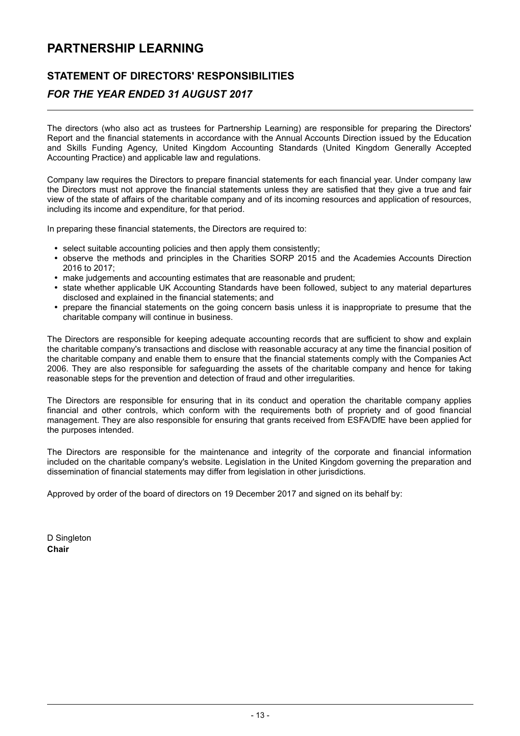### STATEMENT OF DIRECTORS' RESPONSIBILITIES

### FOR THE YEAR ENDED 31 AUGUST 2017

The directors (who also act as trustees for Partnership Learning) are responsible for preparing the Directors' Report and the financial statements in accordance with the Annual Accounts Direction issued by the Education and Skills Funding Agency, United Kingdom Accounting Standards (United Kingdom Generally Accepted Accounting Practice) and applicable law and regulations.

Company law requires the Directors to prepare financial statements for each financial year. Under company law the Directors must not approve the financial statements unless they are satisfied that they give a true and fair view of the state of affairs of the charitable company and of its incoming resources and application of resources, including its income and expenditure, for that period.

In preparing these financial statements, the Directors are required to:

- select suitable accounting policies and then apply them consistently;
- . observe the methods and principles in the Charities SORP 2015 and the Academies Accounts Direction 2016 to 2017;
- make judgements and accounting estimates that are reasonable and prudent;
- state whether applicable UK Accounting Standards have been followed, subject to any material departures disclosed and explained in the financial statements; and
- prepare the financial statements on the going concern basis unless it is inappropriate to presume that the charitable company will continue in business.

The Directors are responsible for keeping adequate accounting records that are sufficient to show and explain the charitable company's transactions and disclose with reasonable accuracy at any time the financial position of the charitable company and enable them to ensure that the financial statements comply with the Companies Act 2006. They are also responsible for safeguarding the assets of the charitable company and hence for taking reasonable steps for the prevention and detection of fraud and other irregularities.

The Directors are responsible for ensuring that in its conduct and operation the charitable company applies financial and other controls, which conform with the requirements both of propriety and of good financial management. They are also responsible for ensuring that grants received from ESFA/DfE have been applied for the purposes intended.

The Directors are responsible for the maintenance and integrity of the corporate and financial information included on the charitable company's website. Legislation in the United Kingdom governing the preparation and dissemination of financial statements may differ from legislation in other jurisdictions.

Approved by order of the board of directors on 19 December 2017 and signed on its behalf by:

D Singleton Chair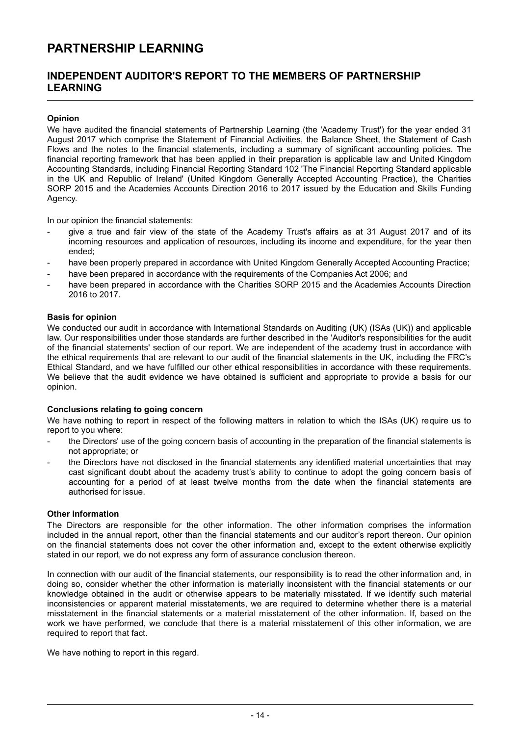### INDEPENDENT AUDITOR'S REPORT TO THE MEMBERS OF PARTNERSHIP LEARNING

#### Opinion

We have audited the financial statements of Partnership Learning (the 'Academy Trust') for the year ended 31 August 2017 which comprise the Statement of Financial Activities, the Balance Sheet, the Statement of Cash Flows and the notes to the financial statements, including a summary of significant accounting policies. The financial reporting framework that has been applied in their preparation is applicable law and United Kingdom Accounting Standards, including Financial Reporting Standard 102 'The Financial Reporting Standard applicable in the UK and Republic of Ireland' (United Kingdom Generally Accepted Accounting Practice), the Charities SORP 2015 and the Academies Accounts Direction 2016 to 2017 issued by the Education and Skills Funding Agency.

In our opinion the financial statements:

- give a true and fair view of the state of the Academy Trust's affairs as at 31 August 2017 and of its incoming resources and application of resources, including its income and expenditure, for the year then ended;
- have been properly prepared in accordance with United Kingdom Generally Accepted Accounting Practice:
- have been prepared in accordance with the requirements of the Companies Act 2006; and
- have been prepared in accordance with the Charities SORP 2015 and the Academies Accounts Direction 2016 to 2017.

#### Basis for opinion

We conducted our audit in accordance with International Standards on Auditing (UK) (ISAs (UK)) and applicable law. Our responsibilities under those standards are further described in the 'Auditor's responsibilities for the audit of the financial statements' section of our report. We are independent of the academy trust in accordance with the ethical requirements that are relevant to our audit of the financial statements in the UK, including the FRC's Ethical Standard, and we have fulfilled our other ethical responsibilities in accordance with these requirements. We believe that the audit evidence we have obtained is sufficient and appropriate to provide a basis for our opinion.

#### Conclusions relating to going concern

We have nothing to report in respect of the following matters in relation to which the ISAs (UK) require us to report to you where:

- the Directors' use of the going concern basis of accounting in the preparation of the financial statements is not appropriate; or
- the Directors have not disclosed in the financial statements any identified material uncertainties that may cast significant doubt about the academy trust's ability to continue to adopt the going concern basis of accounting for a period of at least twelve months from the date when the financial statements are authorised for issue.

#### Other information

The Directors are responsible for the other information. The other information comprises the information included in the annual report, other than the financial statements and our auditor's report thereon. Our opinion on the financial statements does not cover the other information and, except to the extent otherwise explicitly stated in our report, we do not express any form of assurance conclusion thereon.

In connection with our audit of the financial statements, our responsibility is to read the other information and, in doing so, consider whether the other information is materially inconsistent with the financial statements or our knowledge obtained in the audit or otherwise appears to be materially misstated. If we identify such material inconsistencies or apparent material misstatements, we are required to determine whether there is a material misstatement in the financial statements or a material misstatement of the other information. If, based on the work we have performed, we conclude that there is a material misstatement of this other information, we are required to report that fact.

We have nothing to report in this regard.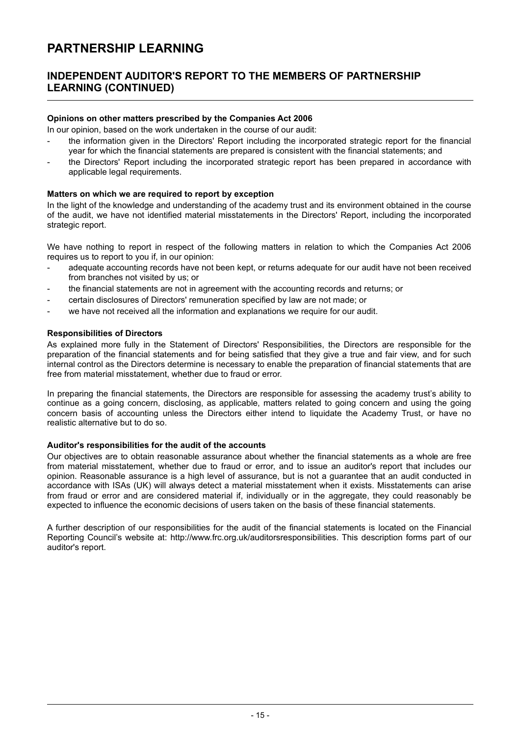### INDEPENDENT AUDITOR'S REPORT TO THE MEMBERS OF PARTNERSHIP LEARNING (CONTINUED)

#### Opinions on other matters prescribed by the Companies Act 2006

In our opinion, based on the work undertaken in the course of our audit:

- the information given in the Directors' Report including the incorporated strategic report for the financial year for which the financial statements are prepared is consistent with the financial statements; and
- the Directors' Report including the incorporated strategic report has been prepared in accordance with applicable legal requirements.

#### Matters on which we are required to report by exception

In the light of the knowledge and understanding of the academy trust and its environment obtained in the course of the audit, we have not identified material misstatements in the Directors' Report, including the incorporated strategic report.

We have nothing to report in respect of the following matters in relation to which the Companies Act 2006 requires us to report to you if, in our opinion:

- adequate accounting records have not been kept, or returns adequate for our audit have not been received from branches not visited by us; or
- the financial statements are not in agreement with the accounting records and returns; or
- certain disclosures of Directors' remuneration specified by law are not made; or
- we have not received all the information and explanations we require for our audit.

#### Responsibilities of Directors

As explained more fully in the Statement of Directors' Responsibilities, the Directors are responsible for the preparation of the financial statements and for being satisfied that they give a true and fair view, and for such internal control as the Directors determine is necessary to enable the preparation of financial statements that are free from material misstatement, whether due to fraud or error.

In preparing the financial statements, the Directors are responsible for assessing the academy trust's ability to continue as a going concern, disclosing, as applicable, matters related to going concern and using the going concern basis of accounting unless the Directors either intend to liquidate the Academy Trust, or have no realistic alternative but to do so.

#### Auditor's responsibilities for the audit of the accounts

Our objectives are to obtain reasonable assurance about whether the financial statements as a whole are free from material misstatement, whether due to fraud or error, and to issue an auditor's report that includes our opinion. Reasonable assurance is a high level of assurance, but is not a guarantee that an audit conducted in accordance with ISAs (UK) will always detect a material misstatement when it exists. Misstatements can arise from fraud or error and are considered material if, individually or in the aggregate, they could reasonably be expected to influence the economic decisions of users taken on the basis of these financial statements.

A further description of our responsibilities for the audit of the financial statements is located on the Financial Reporting Council's website at: http://www.frc.org.uk/auditorsresponsibilities. This description forms part of our auditor's report.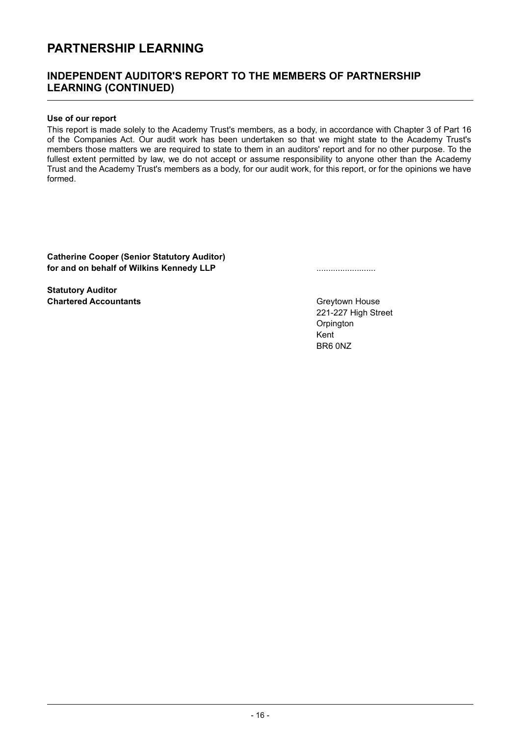### INDEPENDENT AUDITOR'S REPORT TO THE MEMBERS OF PARTNERSHIP LEARNING (CONTINUED)

#### Use of our report

This report is made solely to the Academy Trust's members, as a body, in accordance with Chapter 3 of Part 16 of the Companies Act. Our audit work has been undertaken so that we might state to the Academy Trust's members those matters we are required to state to them in an auditors' report and for no other purpose. To the fullest extent permitted by law, we do not accept or assume responsibility to anyone other than the Academy Trust and the Academy Trust's members as a body, for our audit work, for this report, or for the opinions we have formed.

Catherine Cooper (Senior Statutory Auditor) for and on behalf of Wilkins Kennedy LLP .........................

Statutory Auditor Chartered Accountants **Greytown House** Greytown House

221-227 High Street Orpington Kent BR6 0NZ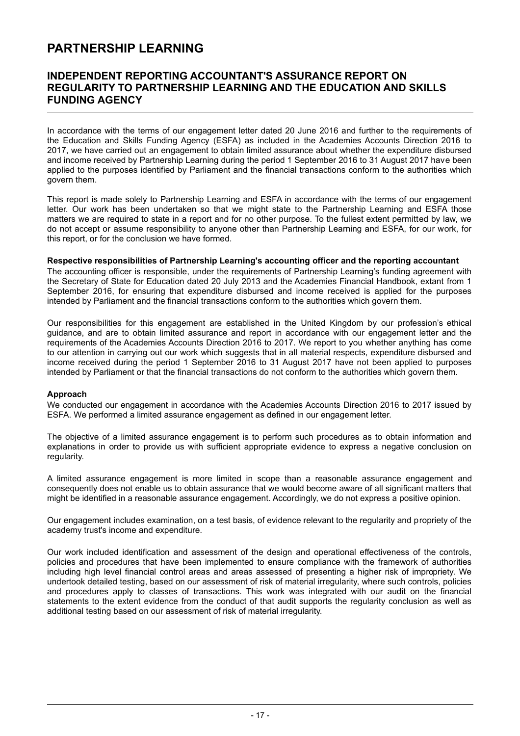### INDEPENDENT REPORTING ACCOUNTANT'S ASSURANCE REPORT ON REGULARITY TO PARTNERSHIP LEARNING AND THE EDUCATION AND SKILLS FUNDING AGENCY

In accordance with the terms of our engagement letter dated 20 June 2016 and further to the requirements of the Education and Skills Funding Agency (ESFA) as included in the Academies Accounts Direction 2016 to 2017, we have carried out an engagement to obtain limited assurance about whether the expenditure disbursed and income received by Partnership Learning during the period 1 September 2016 to 31 August 2017 have been applied to the purposes identified by Parliament and the financial transactions conform to the authorities which govern them.

This report is made solely to Partnership Learning and ESFA in accordance with the terms of our engagement letter. Our work has been undertaken so that we might state to the Partnership Learning and ESFA those matters we are required to state in a report and for no other purpose. To the fullest extent permitted by law, we do not accept or assume responsibility to anyone other than Partnership Learning and ESFA, for our work, for this report, or for the conclusion we have formed.

#### Respective responsibilities of Partnership Learning's accounting officer and the reporting accountant

The accounting officer is responsible, under the requirements of Partnership Learning's funding agreement with the Secretary of State for Education dated 20 July 2013 and the Academies Financial Handbook, extant from 1 September 2016, for ensuring that expenditure disbursed and income received is applied for the purposes intended by Parliament and the financial transactions conform to the authorities which govern them.

Our responsibilities for this engagement are established in the United Kingdom by our profession's ethical guidance, and are to obtain limited assurance and report in accordance with our engagement letter and the requirements of the Academies Accounts Direction 2016 to 2017. We report to you whether anything has come to our attention in carrying out our work which suggests that in all material respects, expenditure disbursed and income received during the period 1 September 2016 to 31 August 2017 have not been applied to purposes intended by Parliament or that the financial transactions do not conform to the authorities which govern them.

#### Approach

We conducted our engagement in accordance with the Academies Accounts Direction 2016 to 2017 issued by ESFA. We performed a limited assurance engagement as defined in our engagement letter.

The objective of a limited assurance engagement is to perform such procedures as to obtain information and explanations in order to provide us with sufficient appropriate evidence to express a negative conclusion on regularity.

A limited assurance engagement is more limited in scope than a reasonable assurance engagement and consequently does not enable us to obtain assurance that we would become aware of all significant matters that might be identified in a reasonable assurance engagement. Accordingly, we do not express a positive opinion.

Our engagement includes examination, on a test basis, of evidence relevant to the regularity and propriety of the academy trust's income and expenditure.

Our work included identification and assessment of the design and operational effectiveness of the controls, policies and procedures that have been implemented to ensure compliance with the framework of authorities including high level financial control areas and areas assessed of presenting a higher risk of impropriety. We undertook detailed testing, based on our assessment of risk of material irregularity, where such controls, policies and procedures apply to classes of transactions. This work was integrated with our audit on the financial statements to the extent evidence from the conduct of that audit supports the regularity conclusion as well as additional testing based on our assessment of risk of material irregularity.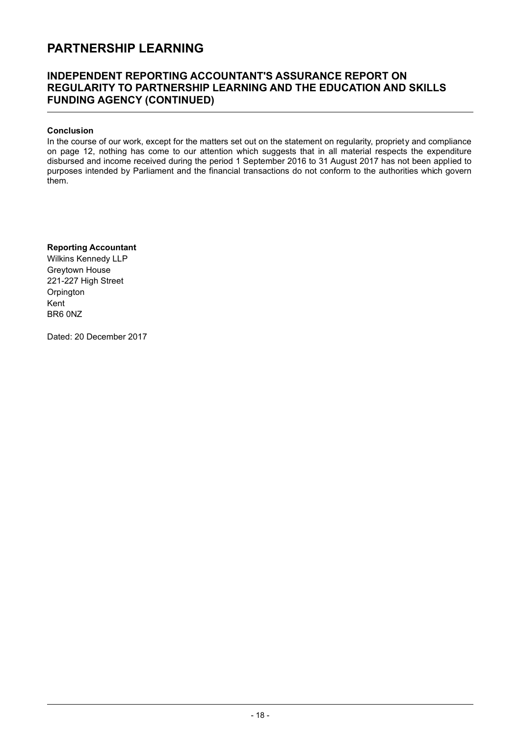### INDEPENDENT REPORTING ACCOUNTANT'S ASSURANCE REPORT ON REGULARITY TO PARTNERSHIP LEARNING AND THE EDUCATION AND SKILLS FUNDING AGENCY (CONTINUED)

#### Conclusion

In the course of our work, except for the matters set out on the statement on regularity, propriety and compliance on page 12, nothing has come to our attention which suggests that in all material respects the expenditure disbursed and income received during the period 1 September 2016 to 31 August 2017 has not been applied to purposes intended by Parliament and the financial transactions do not conform to the authorities which govern them.

#### Reporting Accountant

Wilkins Kennedy LLP Greytown House 221-227 High Street **Orpington** Kent BR6 0NZ

Dated: 20 December 2017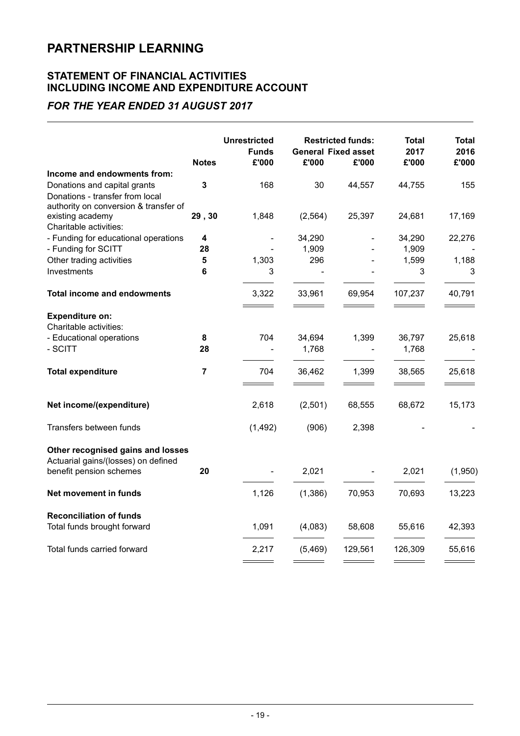### STATEMENT OF FINANCIAL ACTIVITIES INCLUDING INCOME AND EXPENDITURE ACCOUNT

### FOR THE YEAR ENDED 31 AUGUST 2017

|                                                                          | <b>Notes</b>            | <b>Unrestricted</b><br><b>Funds</b><br>£'000 | <b>General Fixed asset</b><br>£'000 | <b>Restricted funds:</b><br>£'000 | Total<br>2017<br>£'000 | Total<br>2016<br>£'000 |
|--------------------------------------------------------------------------|-------------------------|----------------------------------------------|-------------------------------------|-----------------------------------|------------------------|------------------------|
| Income and endowments from:<br>Donations and capital grants              | $\mathbf{3}$            | 168                                          | 30                                  | 44,557                            | 44,755                 | 155                    |
| Donations - transfer from local<br>authority on conversion & transfer of |                         |                                              |                                     |                                   |                        |                        |
| existing academy                                                         | 29,30                   | 1,848                                        | (2, 564)                            | 25,397                            | 24,681                 | 17,169                 |
| Charitable activities:                                                   |                         |                                              |                                     |                                   |                        |                        |
| - Funding for educational operations                                     | 4                       |                                              | 34,290                              |                                   | 34,290                 | 22,276                 |
| - Funding for SCITT                                                      | 28                      |                                              | 1,909                               |                                   | 1,909                  |                        |
| Other trading activities                                                 | $\overline{\mathbf{5}}$ | 1,303                                        | 296                                 |                                   | 1,599                  | 1,188                  |
| Investments                                                              | 6                       | 3                                            |                                     |                                   | 3                      | 3                      |
| <b>Total income and endowments</b>                                       |                         | 3,322                                        | 33,961                              | 69,954                            | 107,237                | 40,791                 |
| <b>Expenditure on:</b>                                                   |                         |                                              |                                     |                                   |                        |                        |
| Charitable activities:                                                   |                         |                                              |                                     |                                   |                        |                        |
| - Educational operations                                                 | 8                       | 704                                          | 34,694                              | 1,399                             | 36,797                 | 25,618                 |
| - SCITT                                                                  | 28                      |                                              | 1,768                               |                                   | 1,768                  |                        |
| <b>Total expenditure</b>                                                 | $\overline{7}$          | 704                                          | 36,462                              | 1,399                             | 38,565                 | 25,618                 |
| Net income/(expenditure)                                                 |                         | 2,618                                        | (2,501)                             | 68,555                            | 68,672                 | 15,173                 |
| Transfers between funds                                                  |                         | (1, 492)                                     | (906)                               | 2,398                             |                        |                        |
| Other recognised gains and losses<br>Actuarial gains/(losses) on defined |                         |                                              |                                     |                                   |                        |                        |
| benefit pension schemes                                                  | 20                      |                                              | 2,021                               |                                   | 2,021                  | (1,950)                |
| Net movement in funds                                                    |                         | 1,126                                        | (1,386)                             | 70,953                            | 70,693                 | 13,223                 |
| <b>Reconciliation of funds</b><br>Total funds brought forward            |                         | 1,091                                        | (4,083)                             | 58,608                            | 55,616                 | 42,393                 |
| Total funds carried forward                                              |                         | 2,217                                        | (5,469)                             | 129,561                           | 126,309                | 55,616                 |
|                                                                          |                         |                                              |                                     |                                   |                        |                        |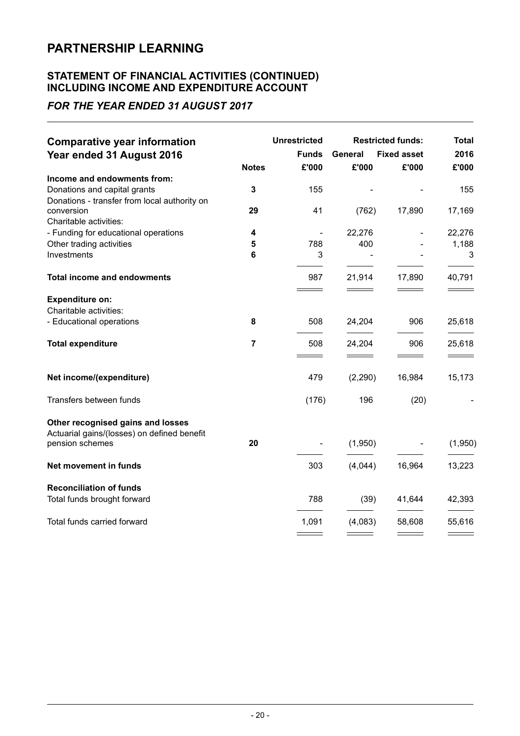### STATEMENT OF FINANCIAL ACTIVITIES (CONTINUED) INCLUDING INCOME AND EXPENDITURE ACCOUNT

### FOR THE YEAR ENDED 31 AUGUST 2017

| <b>Comparative year information</b><br>Year ended 31 August 2016                 | <b>Notes</b>   | <b>Unrestricted</b><br><b>Funds</b><br>£'000 | General<br>£'000           | <b>Restricted funds:</b><br><b>Fixed asset</b><br>£'000 | <b>Total</b><br>2016<br>£'000 |
|----------------------------------------------------------------------------------|----------------|----------------------------------------------|----------------------------|---------------------------------------------------------|-------------------------------|
| Income and endowments from:                                                      |                |                                              |                            |                                                         |                               |
| Donations and capital grants                                                     | 3              | 155                                          |                            |                                                         | 155                           |
| Donations - transfer from local authority on                                     |                |                                              |                            |                                                         |                               |
| conversion                                                                       | 29             | 41                                           | (762)                      | 17,890                                                  | 17,169                        |
| Charitable activities:                                                           |                |                                              |                            |                                                         |                               |
| - Funding for educational operations                                             | 4              |                                              | 22,276                     |                                                         | 22,276                        |
| Other trading activities                                                         | 5              | 788                                          | 400                        |                                                         | 1,188                         |
| Investments                                                                      | 6              | 3                                            |                            |                                                         | 3                             |
| <b>Total income and endowments</b>                                               |                | 987                                          | 21,914                     | 17,890                                                  | 40,791                        |
|                                                                                  |                | $\equiv$                                     | $\equiv$ $\equiv$ $\equiv$ | $\hspace{1.5cm} =$                                      |                               |
| <b>Expenditure on:</b>                                                           |                |                                              |                            |                                                         |                               |
| Charitable activities:                                                           |                |                                              |                            |                                                         |                               |
| - Educational operations                                                         | 8              | 508                                          | 24,204                     | 906                                                     | 25,618                        |
|                                                                                  |                |                                              |                            |                                                         |                               |
| <b>Total expenditure</b>                                                         | $\overline{7}$ | 508                                          | 24,204                     | 906                                                     | 25,618                        |
|                                                                                  |                |                                              |                            |                                                         |                               |
| Net income/(expenditure)                                                         |                | 479                                          | (2,290)                    | 16,984                                                  | 15,173                        |
| Transfers between funds                                                          |                | (176)                                        | 196                        | (20)                                                    |                               |
| Other recognised gains and losses<br>Actuarial gains/(losses) on defined benefit |                |                                              |                            |                                                         |                               |
| pension schemes                                                                  | 20             |                                              | (1,950)                    |                                                         | (1,950)                       |
| Net movement in funds                                                            |                | 303                                          | (4,044)                    | 16,964                                                  | 13,223                        |
| <b>Reconciliation of funds</b><br>Total funds brought forward                    |                | 788                                          | (39)                       | 41,644                                                  | 42,393                        |
| Total funds carried forward                                                      |                | 1,091                                        | (4,083)                    | 58,608                                                  | 55,616                        |
|                                                                                  |                |                                              |                            |                                                         |                               |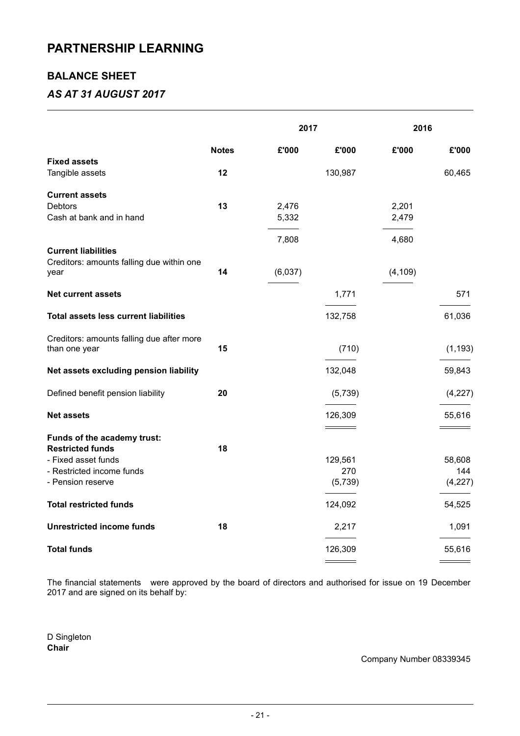### BALANCE SHEET

### AS AT 31 AUGUST 2017

|                                              |              | 2017    |                          | 2016     |          |
|----------------------------------------------|--------------|---------|--------------------------|----------|----------|
|                                              | <b>Notes</b> | £'000   | £'000                    | £'000    | £'000    |
| <b>Fixed assets</b>                          |              |         |                          |          |          |
| Tangible assets                              | 12           |         | 130,987                  |          | 60,465   |
| <b>Current assets</b>                        |              |         |                          |          |          |
| <b>Debtors</b>                               | 13           | 2,476   |                          | 2,201    |          |
| Cash at bank and in hand                     |              | 5,332   |                          | 2,479    |          |
|                                              |              | 7,808   |                          | 4,680    |          |
| <b>Current liabilities</b>                   |              |         |                          |          |          |
| Creditors: amounts falling due within one    |              |         |                          |          |          |
| year                                         | 14           | (6,037) |                          | (4, 109) |          |
| <b>Net current assets</b>                    |              |         | 1,771                    |          | 571      |
|                                              |              |         |                          |          |          |
| <b>Total assets less current liabilities</b> |              |         | 132,758                  |          | 61,036   |
| Creditors: amounts falling due after more    |              |         |                          |          |          |
| than one year                                | 15           |         | (710)                    |          | (1, 193) |
| Net assets excluding pension liability       |              |         | 132,048                  |          | 59,843   |
| Defined benefit pension liability            | 20           |         | (5,739)                  |          | (4,227)  |
| <b>Net assets</b>                            |              |         | 126,309                  |          | 55,616   |
|                                              |              |         | $\overline{\phantom{a}}$ |          |          |
| Funds of the academy trust:                  |              |         |                          |          |          |
| <b>Restricted funds</b>                      | 18           |         |                          |          |          |
| - Fixed asset funds                          |              |         | 129,561                  |          | 58,608   |
| - Restricted income funds                    |              |         | 270                      |          | 144      |
| - Pension reserve                            |              |         | (5,739)                  |          | (4,227)  |
| <b>Total restricted funds</b>                |              |         | 124,092                  |          | 54,525   |
| <b>Unrestricted income funds</b>             | 18           |         | 2,217                    |          | 1,091    |
| <b>Total funds</b>                           |              |         | 126,309                  |          | 55,616   |
|                                              |              |         |                          |          |          |

The financial statements were approved by the board of directors and authorised for issue on 19 December 2017 and are signed on its behalf by:

D Singleton **Chair** 

### Company Number 08339345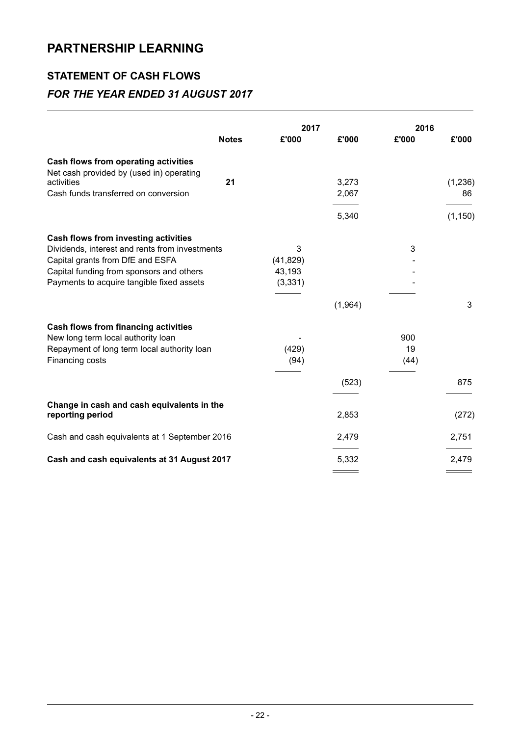# STATEMENT OF CASH FLOWS

### FOR THE YEAR ENDED 31 AUGUST 2017

|                                                                                  |              | 2017      |         | 2016  |          |
|----------------------------------------------------------------------------------|--------------|-----------|---------|-------|----------|
|                                                                                  | <b>Notes</b> | £'000     | £'000   | £'000 | £'000    |
| Cash flows from operating activities<br>Net cash provided by (used in) operating |              |           |         |       |          |
| activities                                                                       | 21           |           | 3,273   |       | (1,236)  |
| Cash funds transferred on conversion                                             |              |           | 2,067   |       | 86       |
|                                                                                  |              |           | 5,340   |       | (1, 150) |
| Cash flows from investing activities                                             |              |           |         |       |          |
| Dividends, interest and rents from investments                                   |              | 3         |         | 3     |          |
| Capital grants from DfE and ESFA                                                 |              | (41, 829) |         |       |          |
| Capital funding from sponsors and others                                         |              | 43,193    |         |       |          |
| Payments to acquire tangible fixed assets                                        |              | (3, 331)  |         |       |          |
|                                                                                  |              |           | (1,964) |       | 3        |
| <b>Cash flows from financing activities</b>                                      |              |           |         |       |          |
| New long term local authority loan                                               |              |           |         | 900   |          |
| Repayment of long term local authority loan                                      |              | (429)     |         | 19    |          |
| Financing costs                                                                  |              | (94)      |         | (44)  |          |
|                                                                                  |              |           | (523)   |       | 875      |
| Change in cash and cash equivalents in the<br>reporting period                   |              |           | 2,853   |       | (272)    |
| Cash and cash equivalents at 1 September 2016                                    |              |           | 2,479   |       | 2,751    |
| Cash and cash equivalents at 31 August 2017                                      |              |           | 5,332   |       | 2,479    |
|                                                                                  |              |           |         |       |          |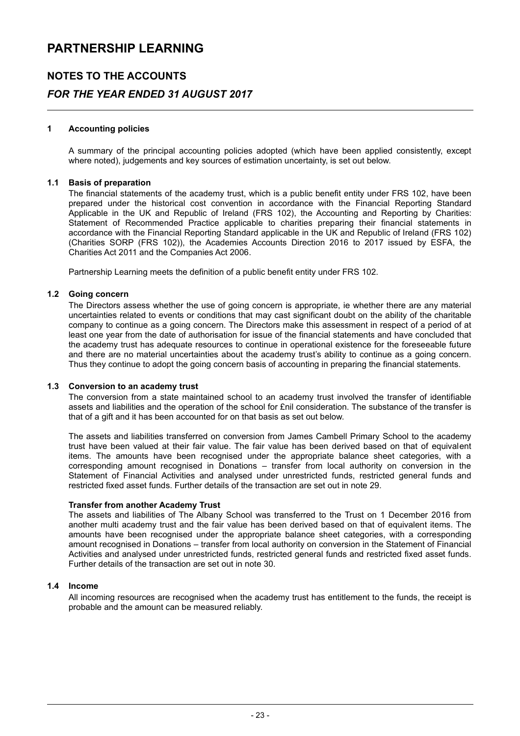# NOTES TO THE ACCOUNTS

### FOR THE YEAR ENDED 31 AUGUST 2017

#### 1 Accounting policies

A summary of the principal accounting policies adopted (which have been applied consistently, except where noted), judgements and key sources of estimation uncertainty, is set out below.

#### 1.1 Basis of preparation

The financial statements of the academy trust, which is a public benefit entity under FRS 102, have been prepared under the historical cost convention in accordance with the Financial Reporting Standard Applicable in the UK and Republic of Ireland (FRS 102), the Accounting and Reporting by Charities: Statement of Recommended Practice applicable to charities preparing their financial statements in accordance with the Financial Reporting Standard applicable in the UK and Republic of Ireland (FRS 102) (Charities SORP (FRS 102)), the Academies Accounts Direction 2016 to 2017 issued by ESFA, the Charities Act 2011 and the Companies Act 2006.

Partnership Learning meets the definition of a public benefit entity under FRS 102.

#### 1.2 Going concern

The Directors assess whether the use of going concern is appropriate, ie whether there are any material uncertainties related to events or conditions that may cast significant doubt on the ability of the charitable company to continue as a going concern. The Directors make this assessment in respect of a period of at least one year from the date of authorisation for issue of the financial statements and have concluded that the academy trust has adequate resources to continue in operational existence for the foreseeable future and there are no material uncertainties about the academy trust's ability to continue as a going concern. Thus they continue to adopt the going concern basis of accounting in preparing the financial statements.

#### 1.3 Conversion to an academy trust

The conversion from a state maintained school to an academy trust involved the transfer of identifiable assets and liabilities and the operation of the school for £nil consideration. The substance of the transfer is that of a gift and it has been accounted for on that basis as set out below.

The assets and liabilities transferred on conversion from James Cambell Primary School to the academy trust have been valued at their fair value. The fair value has been derived based on that of equivalent items. The amounts have been recognised under the appropriate balance sheet categories, with a corresponding amount recognised in Donations – transfer from local authority on conversion in the Statement of Financial Activities and analysed under unrestricted funds, restricted general funds and restricted fixed asset funds. Further details of the transaction are set out in note 29.

#### Transfer from another Academy Trust

The assets and liabilities of The Albany School was transferred to the Trust on 1 December 2016 from another multi academy trust and the fair value has been derived based on that of equivalent items. The amounts have been recognised under the appropriate balance sheet categories, with a corresponding amount recognised in Donations – transfer from local authority on conversion in the Statement of Financial Activities and analysed under unrestricted funds, restricted general funds and restricted fixed asset funds. Further details of the transaction are set out in note 30.

#### 1.4 Income

All incoming resources are recognised when the academy trust has entitlement to the funds, the receipt is probable and the amount can be measured reliably.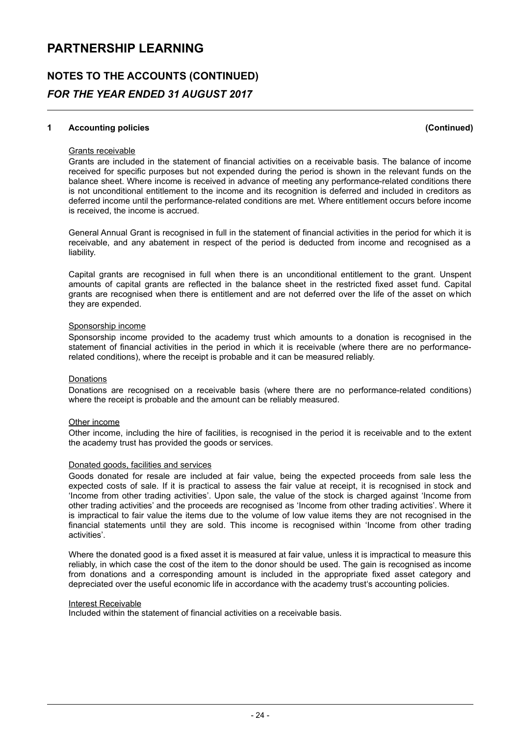# NOTES TO THE ACCOUNTS (CONTINUED) FOR THE YEAR ENDED 31 AUGUST 2017

#### 1 Accounting policies (Continued)

#### Grants receivable

Grants are included in the statement of financial activities on a receivable basis. The balance of income received for specific purposes but not expended during the period is shown in the relevant funds on the balance sheet. Where income is received in advance of meeting any performance-related conditions there is not unconditional entitlement to the income and its recognition is deferred and included in creditors as deferred income until the performance-related conditions are met. Where entitlement occurs before income is received, the income is accrued.

General Annual Grant is recognised in full in the statement of financial activities in the period for which it is receivable, and any abatement in respect of the period is deducted from income and recognised as a liability.

Capital grants are recognised in full when there is an unconditional entitlement to the grant. Unspent amounts of capital grants are reflected in the balance sheet in the restricted fixed asset fund. Capital grants are recognised when there is entitlement and are not deferred over the life of the asset on which they are expended.

#### Sponsorship income

Sponsorship income provided to the academy trust which amounts to a donation is recognised in the statement of financial activities in the period in which it is receivable (where there are no performancerelated conditions), where the receipt is probable and it can be measured reliably.

#### Donations

Donations are recognised on a receivable basis (where there are no performance-related conditions) where the receipt is probable and the amount can be reliably measured.

#### Other income

Other income, including the hire of facilities, is recognised in the period it is receivable and to the extent the academy trust has provided the goods or services.

#### Donated goods, facilities and services

Goods donated for resale are included at fair value, being the expected proceeds from sale less the expected costs of sale. If it is practical to assess the fair value at receipt, it is recognised in stock and 'Income from other trading activities'. Upon sale, the value of the stock is charged against 'Income from other trading activities' and the proceeds are recognised as 'Income from other trading activities'. Where it is impractical to fair value the items due to the volume of low value items they are not recognised in the financial statements until they are sold. This income is recognised within 'Income from other trading activities'.

Where the donated good is a fixed asset it is measured at fair value, unless it is impractical to measure this reliably, in which case the cost of the item to the donor should be used. The gain is recognised as income from donations and a corresponding amount is included in the appropriate fixed asset category and depreciated over the useful economic life in accordance with the academy trust's accounting policies.

#### Interest Receivable

Included within the statement of financial activities on a receivable basis.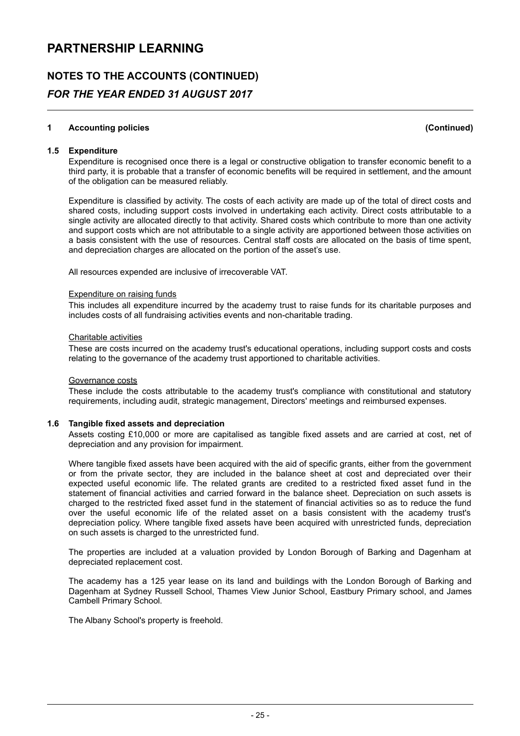# NOTES TO THE ACCOUNTS (CONTINUED) FOR THE YEAR ENDED 31 AUGUST 2017

#### 1 Accounting policies (Continued)

#### 1.5 Expenditure

Expenditure is recognised once there is a legal or constructive obligation to transfer economic benefit to a third party, it is probable that a transfer of economic benefits will be required in settlement, and the amount of the obligation can be measured reliably.

Expenditure is classified by activity. The costs of each activity are made up of the total of direct costs and shared costs, including support costs involved in undertaking each activity. Direct costs attributable to a single activity are allocated directly to that activity. Shared costs which contribute to more than one activity and support costs which are not attributable to a single activity are apportioned between those activities on a basis consistent with the use of resources. Central staff costs are allocated on the basis of time spent, and depreciation charges are allocated on the portion of the asset's use.

All resources expended are inclusive of irrecoverable VAT.

#### Expenditure on raising funds

This includes all expenditure incurred by the academy trust to raise funds for its charitable purposes and includes costs of all fundraising activities events and non-charitable trading.

#### Charitable activities

These are costs incurred on the academy trust's educational operations, including support costs and costs relating to the governance of the academy trust apportioned to charitable activities.

#### Governance costs

These include the costs attributable to the academy trust's compliance with constitutional and statutory requirements, including audit, strategic management, Directors' meetings and reimbursed expenses.

#### 1.6 Tangible fixed assets and depreciation

Assets costing £10,000 or more are capitalised as tangible fixed assets and are carried at cost, net of depreciation and any provision for impairment.

Where tangible fixed assets have been acquired with the aid of specific grants, either from the government or from the private sector, they are included in the balance sheet at cost and depreciated over their expected useful economic life. The related grants are credited to a restricted fixed asset fund in the statement of financial activities and carried forward in the balance sheet. Depreciation on such assets is charged to the restricted fixed asset fund in the statement of financial activities so as to reduce the fund over the useful economic life of the related asset on a basis consistent with the academy trust's depreciation policy. Where tangible fixed assets have been acquired with unrestricted funds, depreciation on such assets is charged to the unrestricted fund.

The properties are included at a valuation provided by London Borough of Barking and Dagenham at depreciated replacement cost.

The academy has a 125 year lease on its land and buildings with the London Borough of Barking and Dagenham at Sydney Russell School, Thames View Junior School, Eastbury Primary school, and James Cambell Primary School.

The Albany School's property is freehold.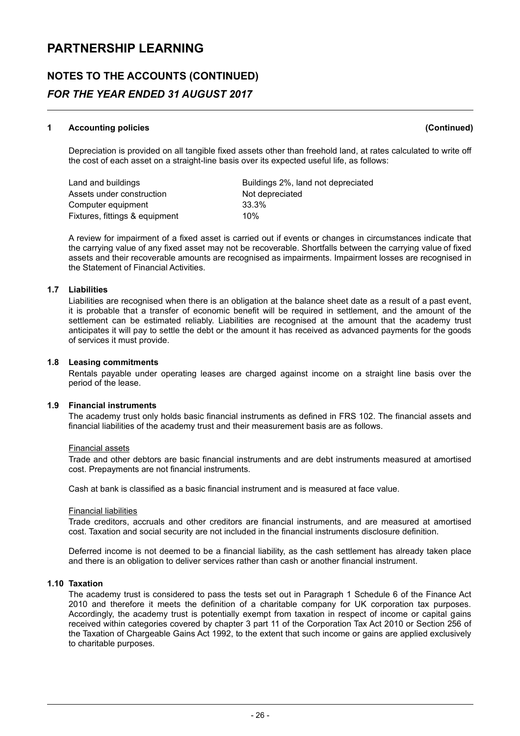# NOTES TO THE ACCOUNTS (CONTINUED) FOR THE YEAR ENDED 31 AUGUST 2017

#### 1 Accounting policies (Continued)

Depreciation is provided on all tangible fixed assets other than freehold land, at rates calculated to write off the cost of each asset on a straight-line basis over its expected useful life, as follows:

| Land and buildings             | Buildings 2%, land not depreciated |
|--------------------------------|------------------------------------|
| Assets under construction      | Not depreciated                    |
| Computer equipment             | 33.3%                              |
| Fixtures, fittings & equipment | 10%                                |

A review for impairment of a fixed asset is carried out if events or changes in circumstances indicate that the carrying value of any fixed asset may not be recoverable. Shortfalls between the carrying value of fixed assets and their recoverable amounts are recognised as impairments. Impairment losses are recognised in the Statement of Financial Activities.

#### 1.7 Liabilities

Liabilities are recognised when there is an obligation at the balance sheet date as a result of a past event, it is probable that a transfer of economic benefit will be required in settlement, and the amount of the settlement can be estimated reliably. Liabilities are recognised at the amount that the academy trust anticipates it will pay to settle the debt or the amount it has received as advanced payments for the goods of services it must provide.

#### 1.8 Leasing commitments

Rentals payable under operating leases are charged against income on a straight line basis over the period of the lease.

#### 1.9 Financial instruments

The academy trust only holds basic financial instruments as defined in FRS 102. The financial assets and financial liabilities of the academy trust and their measurement basis are as follows.

#### Financial assets

Trade and other debtors are basic financial instruments and are debt instruments measured at amortised cost. Prepayments are not financial instruments.

Cash at bank is classified as a basic financial instrument and is measured at face value.

#### Financial liabilities

Trade creditors, accruals and other creditors are financial instruments, and are measured at amortised cost. Taxation and social security are not included in the financial instruments disclosure definition.

Deferred income is not deemed to be a financial liability, as the cash settlement has already taken place and there is an obligation to deliver services rather than cash or another financial instrument.

#### 1.10 Taxation

The academy trust is considered to pass the tests set out in Paragraph 1 Schedule 6 of the Finance Act 2010 and therefore it meets the definition of a charitable company for UK corporation tax purposes. Accordingly, the academy trust is potentially exempt from taxation in respect of income or capital gains received within categories covered by chapter 3 part 11 of the Corporation Tax Act 2010 or Section 256 of the Taxation of Chargeable Gains Act 1992, to the extent that such income or gains are applied exclusively to charitable purposes.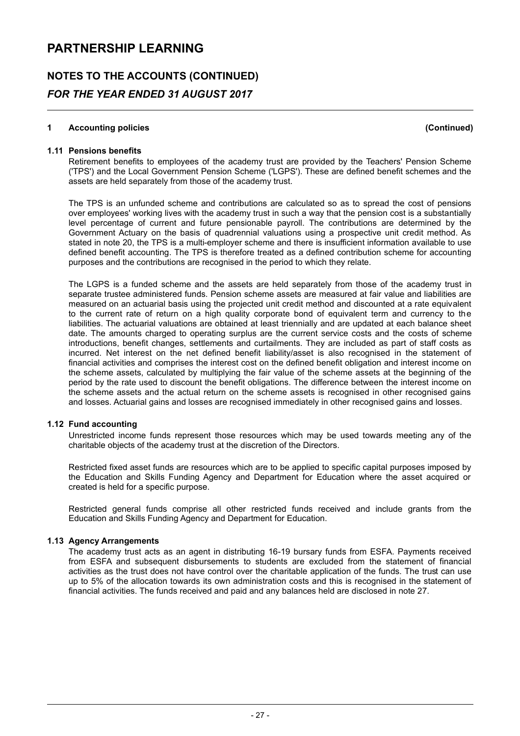# NOTES TO THE ACCOUNTS (CONTINUED) FOR THE YEAR ENDED 31 AUGUST 2017

#### 1 Accounting policies (Continued)

#### 1.11 Pensions benefits

Retirement benefits to employees of the academy trust are provided by the Teachers' Pension Scheme ('TPS') and the Local Government Pension Scheme ('LGPS'). These are defined benefit schemes and the assets are held separately from those of the academy trust.

The TPS is an unfunded scheme and contributions are calculated so as to spread the cost of pensions over employees' working lives with the academy trust in such a way that the pension cost is a substantially level percentage of current and future pensionable payroll. The contributions are determined by the Government Actuary on the basis of quadrennial valuations using a prospective unit credit method. As stated in note 20, the TPS is a multi-employer scheme and there is insufficient information available to use defined benefit accounting. The TPS is therefore treated as a defined contribution scheme for accounting purposes and the contributions are recognised in the period to which they relate.

The LGPS is a funded scheme and the assets are held separately from those of the academy trust in separate trustee administered funds. Pension scheme assets are measured at fair value and liabilities are measured on an actuarial basis using the projected unit credit method and discounted at a rate equivalent to the current rate of return on a high quality corporate bond of equivalent term and currency to the liabilities. The actuarial valuations are obtained at least triennially and are updated at each balance sheet date. The amounts charged to operating surplus are the current service costs and the costs of scheme introductions, benefit changes, settlements and curtailments. They are included as part of staff costs as incurred. Net interest on the net defined benefit liability/asset is also recognised in the statement of financial activities and comprises the interest cost on the defined benefit obligation and interest income on the scheme assets, calculated by multiplying the fair value of the scheme assets at the beginning of the period by the rate used to discount the benefit obligations. The difference between the interest income on the scheme assets and the actual return on the scheme assets is recognised in other recognised gains and losses. Actuarial gains and losses are recognised immediately in other recognised gains and losses.

#### 1.12 Fund accounting

Unrestricted income funds represent those resources which may be used towards meeting any of the charitable objects of the academy trust at the discretion of the Directors.

Restricted fixed asset funds are resources which are to be applied to specific capital purposes imposed by the Education and Skills Funding Agency and Department for Education where the asset acquired or created is held for a specific purpose.

Restricted general funds comprise all other restricted funds received and include grants from the Education and Skills Funding Agency and Department for Education.

#### 1.13 Agency Arrangements

The academy trust acts as an agent in distributing 16-19 bursary funds from ESFA. Payments received from ESFA and subsequent disbursements to students are excluded from the statement of financial activities as the trust does not have control over the charitable application of the funds. The trust can use up to 5% of the allocation towards its own administration costs and this is recognised in the statement of financial activities. The funds received and paid and any balances held are disclosed in note 27.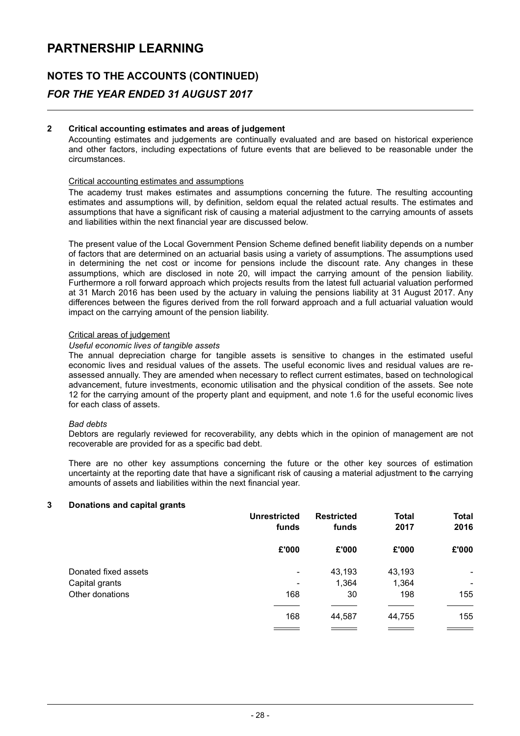### NOTES TO THE ACCOUNTS (CONTINUED) FOR THE YEAR ENDED 31 AUGUST 2017

#### 2 Critical accounting estimates and areas of judgement

Accounting estimates and judgements are continually evaluated and are based on historical experience and other factors, including expectations of future events that are believed to be reasonable under the circumstances.

#### Critical accounting estimates and assumptions

The academy trust makes estimates and assumptions concerning the future. The resulting accounting estimates and assumptions will, by definition, seldom equal the related actual results. The estimates and assumptions that have a significant risk of causing a material adjustment to the carrying amounts of assets and liabilities within the next financial year are discussed below.

The present value of the Local Government Pension Scheme defined benefit liability depends on a number of factors that are determined on an actuarial basis using a variety of assumptions. The assumptions used in determining the net cost or income for pensions include the discount rate. Any changes in these assumptions, which are disclosed in note 20, will impact the carrying amount of the pension liability. Furthermore a roll forward approach which projects results from the latest full actuarial valuation performed at 31 March 2016 has been used by the actuary in valuing the pensions liability at 31 August 2017. Any differences between the figures derived from the roll forward approach and a full actuarial valuation would impact on the carrying amount of the pension liability.

#### Critical areas of judgement

#### Useful economic lives of tangible assets

The annual depreciation charge for tangible assets is sensitive to changes in the estimated useful economic lives and residual values of the assets. The useful economic lives and residual values are reassessed annually. They are amended when necessary to reflect current estimates, based on technological advancement, future investments, economic utilisation and the physical condition of the assets. See note 12 for the carrying amount of the property plant and equipment, and note 1.6 for the useful economic lives for each class of assets.

#### Bad debts

Debtors are regularly reviewed for recoverability, any debts which in the opinion of management are not recoverable are provided for as a specific bad debt.

There are no other key assumptions concerning the future or the other key sources of estimation uncertainty at the reporting date that have a significant risk of causing a material adjustment to the carrying amounts of assets and liabilities within the next financial year.

#### 3 Donations and capital grants

| -                    | <b>Unrestricted</b><br>funds | <b>Restricted</b><br>funds | <b>Total</b><br>2017 | <b>Total</b><br>2016 |
|----------------------|------------------------------|----------------------------|----------------------|----------------------|
|                      | £'000                        | £'000                      | £'000                | £'000                |
| Donated fixed assets | $\overline{\phantom{a}}$     | 43,193                     | 43,193               | -                    |
| Capital grants       | $\overline{\phantom{a}}$     | 1,364                      | 1,364                | -                    |
| Other donations      | 168                          | 30                         | 198                  | 155                  |
|                      |                              |                            |                      |                      |
|                      | 168                          | 44,587                     | 44,755               | 155                  |
|                      |                              |                            |                      |                      |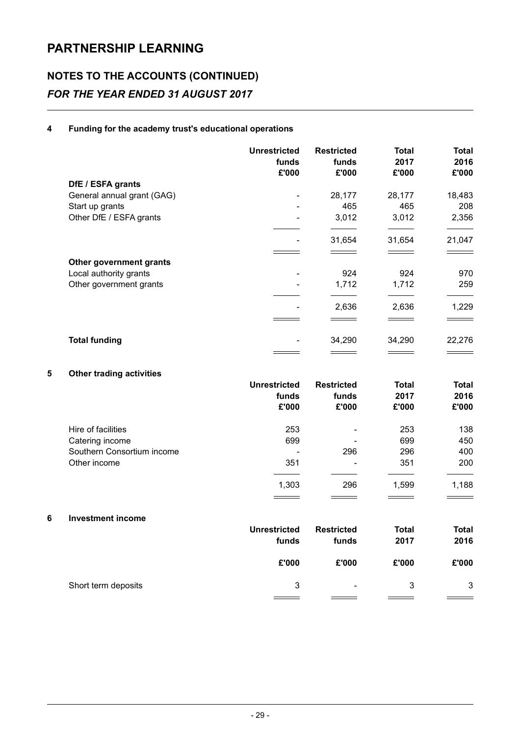# NOTES TO THE ACCOUNTS (CONTINUED) FOR THE YEAR ENDED 31 AUGUST 2017

### 4 Funding for the academy trust's educational operations

|                            | <b>Unrestricted</b><br>funds<br>£'000 | <b>Restricted</b><br>funds<br>£'000 | <b>Total</b><br>2017<br>£'000 | Total<br>2016<br>£'000 |
|----------------------------|---------------------------------------|-------------------------------------|-------------------------------|------------------------|
| DfE / ESFA grants          |                                       |                                     |                               |                        |
| General annual grant (GAG) |                                       | 28,177                              | 28,177                        | 18,483                 |
| Start up grants            |                                       | 465                                 | 465                           | 208                    |
| Other DfE / ESFA grants    |                                       | 3,012                               | 3,012                         | 2,356                  |
|                            |                                       | 31,654                              | 31,654                        | 21,047                 |
|                            |                                       |                                     |                               |                        |
| Other government grants    |                                       |                                     |                               |                        |
| Local authority grants     |                                       | 924                                 | 924                           | 970                    |
| Other government grants    |                                       | 1,712                               | 1,712                         | 259                    |
|                            |                                       |                                     |                               |                        |
|                            |                                       | 2,636                               | 2,636                         | 1,229                  |
|                            |                                       |                                     |                               |                        |
| <b>Total funding</b>       |                                       | 34,290                              | 34,290                        | 22,276                 |
|                            |                                       |                                     |                               |                        |

### 5 Other trading activities

|                            | <b>Unrestricted</b><br>funds<br>£'000 | <b>Restricted</b><br>funds<br>£'000 | Total<br>2017<br>£'000 | <b>Total</b><br>2016<br>£'000 |
|----------------------------|---------------------------------------|-------------------------------------|------------------------|-------------------------------|
| Hire of facilities         | 253                                   | $\overline{\phantom{0}}$            | 253                    | 138                           |
| Catering income            | 699                                   | ۰                                   | 699                    | 450                           |
| Southern Consortium income |                                       | 296                                 | 296                    | 400                           |
| Other income               | 351                                   | $\overline{\phantom{a}}$            | 351                    | 200                           |
|                            | 1,303                                 | 296                                 | 1,599                  | 1,188                         |

 $\equiv$ 

 $\qquad \qquad =$ 

 $\qquad \qquad =$ 

 $\overline{\phantom{a}}$ 

#### 6 Investment income

|                     | <b>Unrestricted</b> | <b>Restricted</b>        | <b>Total</b> | <b>Total</b> |
|---------------------|---------------------|--------------------------|--------------|--------------|
|                     | funds               | funds                    | 2017         | 2016         |
| Short term deposits | £'000               | £'000                    | £'000        | £'000        |
|                     | 3                   | $\overline{\phantom{a}}$ | 3            | 3            |
|                     |                     |                          |              |              |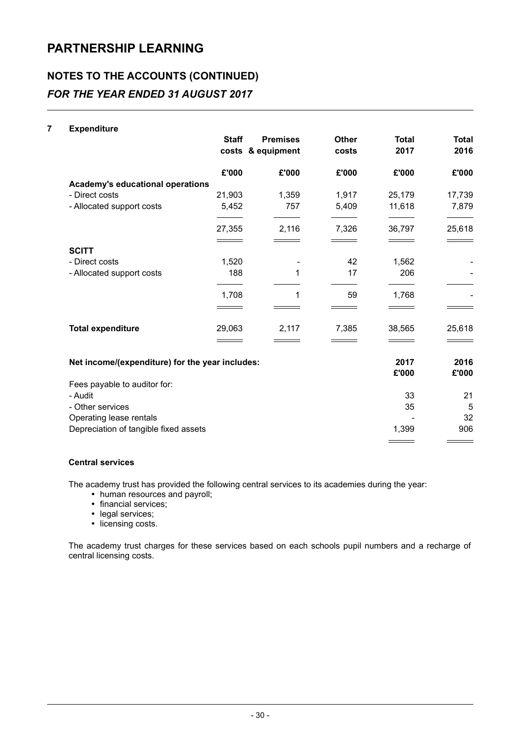# NOTES TO THE ACCOUNTS (CONTINUED) FOR THE YEAR ENDED 31 AUGUST 2017

#### 7 Expenditure

|                                                 | <b>Staff</b> | <b>Premises</b><br>costs & equipment | <b>Other</b><br>costs | <b>Total</b><br>2017 | <b>Total</b><br>2016 |
|-------------------------------------------------|--------------|--------------------------------------|-----------------------|----------------------|----------------------|
|                                                 | £'000        | £'000                                | £'000                 | £'000                | £'000                |
| Academy's educational operations                |              |                                      |                       |                      |                      |
| - Direct costs                                  | 21,903       | 1,359                                | 1,917                 | 25,179               | 17,739               |
| - Allocated support costs                       | 5,452        | 757                                  | 5,409                 | 11,618               | 7,879                |
|                                                 | 27,355       | 2,116                                | 7,326                 | 36,797               | 25,618               |
| <b>SCITT</b>                                    |              |                                      |                       |                      |                      |
| - Direct costs                                  | 1,520        |                                      | 42                    | 1,562                |                      |
| - Allocated support costs                       | 188          | 1                                    | 17                    | 206                  |                      |
|                                                 | 1,708        | 1                                    | 59                    | 1,768                |                      |
|                                                 |              |                                      |                       |                      |                      |
| <b>Total expenditure</b>                        | 29,063       | 2,117                                | 7,385                 | 38,565               | 25,618               |
| Net income/(expenditure) for the year includes: |              |                                      |                       | 2017                 | 2016                 |
|                                                 |              |                                      |                       | £'000                | £'000                |
| Fees payable to auditor for:                    |              |                                      |                       |                      |                      |

| Fees payable to auditor for.          |       |     |
|---------------------------------------|-------|-----|
| - Audit                               | 33    | 21  |
| - Other services                      | 35    | 5   |
| Operating lease rentals               | -     | 32  |
| Depreciation of tangible fixed assets | 1.399 | 906 |
|                                       |       |     |

### Central services

The academy trust has provided the following central services to its academies during the year:

- human resources and payroll;
- financial services;
- legal services;
- licensing costs.

The academy trust charges for these services based on each schools pupil numbers and a recharge of central licensing costs.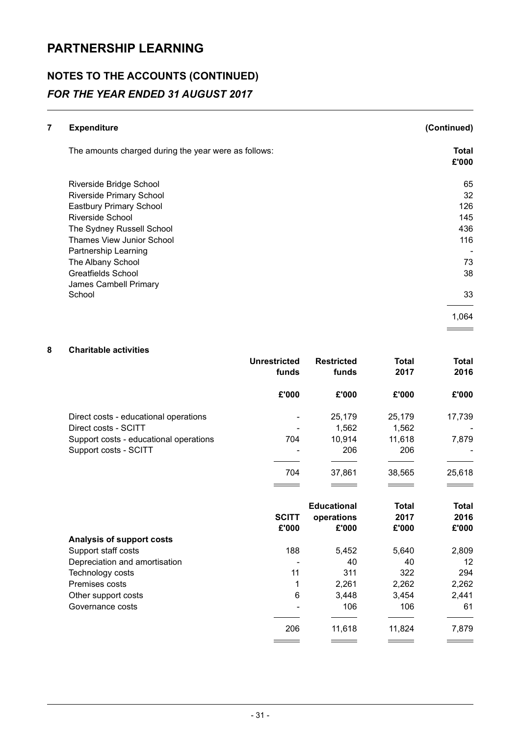# NOTES TO THE ACCOUNTS (CONTINUED) FOR THE YEAR ENDED 31 AUGUST 2017

| $\overline{7}$ | <b>Expenditure</b>                                   |                     |                   |              | (Continued)           |
|----------------|------------------------------------------------------|---------------------|-------------------|--------------|-----------------------|
|                | The amounts charged during the year were as follows: |                     |                   |              | <b>Total</b><br>£'000 |
|                | Riverside Bridge School                              |                     |                   |              | 65                    |
|                | Riverside Primary School                             |                     |                   |              | 32                    |
|                | Eastbury Primary School                              |                     |                   |              | 126                   |
|                | <b>Riverside School</b>                              |                     |                   |              | 145                   |
|                | The Sydney Russell School                            |                     |                   |              | 436                   |
|                | <b>Thames View Junior School</b>                     |                     |                   |              | 116                   |
|                | Partnership Learning                                 |                     |                   |              |                       |
|                | The Albany School                                    |                     |                   |              | 73                    |
|                | <b>Greatfields School</b>                            |                     |                   |              | 38                    |
|                | James Cambell Primary                                |                     |                   |              |                       |
|                | School                                               |                     |                   |              | 33                    |
|                |                                                      |                     |                   |              | 1,064                 |
| 8              | <b>Charitable activities</b>                         |                     |                   |              |                       |
|                |                                                      | <b>Unrestricted</b> | <b>Restricted</b> | <b>Total</b> | <b>Total</b>          |
|                |                                                      | funds               | funds             | 2017         | 2016                  |
|                |                                                      | £'000               | £'000             | £'000        | £'000                 |
|                | Direct costs - educational operations                |                     | 25,179            | 25,179       | 17,739                |
|                | Direct costs - SCITT                                 |                     | 1,562             | 1,562        |                       |
|                | Support costs - educational operations               | 704                 | 10,914            | 11,618       | 7,879                 |

Support costs - SCITT - 206 206 -

|                               | 704                   | 37,861                                    | 38,565                        | 25,618                 |
|-------------------------------|-----------------------|-------------------------------------------|-------------------------------|------------------------|
|                               |                       |                                           |                               |                        |
|                               | <b>SCITT</b><br>£'000 | <b>Educational</b><br>operations<br>£'000 | <b>Total</b><br>2017<br>£'000 | Total<br>2016<br>£'000 |
| Analysis of support costs     |                       |                                           |                               |                        |
| Support staff costs           | 188                   | 5,452                                     | 5,640                         | 2,809                  |
| Depreciation and amortisation |                       | 40                                        | 40                            | 12                     |
| Technology costs              | 11                    | 311                                       | 322                           | 294                    |
| Premises costs                | 1                     | 2,261                                     | 2,262                         | 2,262                  |
| Other support costs           | 6                     | 3,448                                     | 3,454                         | 2,441                  |
| Governance costs              |                       | 106                                       | 106                           | 61                     |
|                               | 206                   | 11,618                                    | 11,824                        | 7,879                  |
|                               |                       |                                           |                               |                        |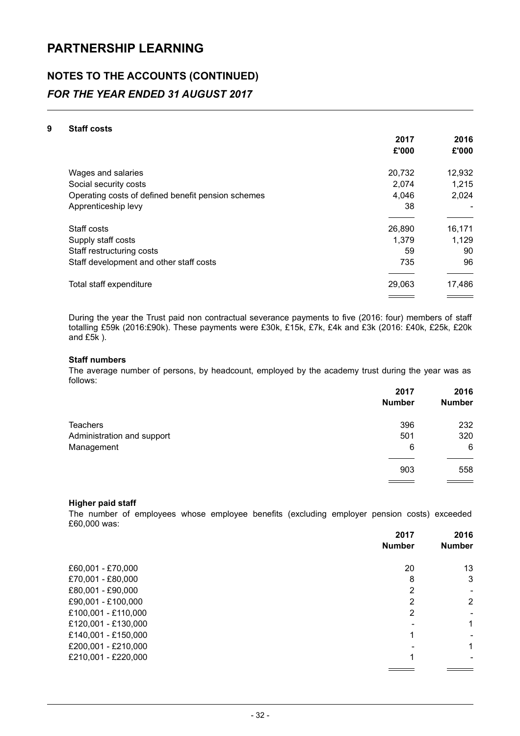### NOTES TO THE ACCOUNTS (CONTINUED) FOR THE YEAR ENDED 31 AUGUST 2017

#### 9 Staff costs

|                                                    | 2017   | 2016   |
|----------------------------------------------------|--------|--------|
|                                                    | £'000  | £'000  |
| Wages and salaries                                 | 20,732 | 12,932 |
| Social security costs                              | 2,074  | 1,215  |
| Operating costs of defined benefit pension schemes | 4,046  | 2,024  |
| Apprenticeship levy                                | 38     |        |
| Staff costs                                        | 26,890 | 16,171 |
| Supply staff costs                                 | 1,379  | 1,129  |
| Staff restructuring costs                          | 59     | 90     |
| Staff development and other staff costs            | 735    | 96     |
| Total staff expenditure                            | 29,063 | 17,486 |
|                                                    |        |        |

During the year the Trust paid non contractual severance payments to five (2016: four) members of staff totalling £59k (2016:£90k). These payments were £30k, £15k, £7k, £4k and £3k (2016: £40k, £25k, £20k and £5k ).

#### Staff numbers

The average number of persons, by headcount, employed by the academy trust during the year was as follows:

|                            | 2017          | 2016          |
|----------------------------|---------------|---------------|
|                            | <b>Number</b> | <b>Number</b> |
| <b>Teachers</b>            | 396           | 232           |
| Administration and support | 501           | 320           |
| Management                 | 6             | 6             |
|                            | 903           | 558           |
|                            |               |               |

#### Higher paid staff

The number of employees whose employee benefits (excluding employer pension costs) exceeded £60,000 was:

|                     | 2017          | 2016          |
|---------------------|---------------|---------------|
|                     | <b>Number</b> | <b>Number</b> |
| $£60,001 - £70,000$ | 20            | 13            |
| £70,001 - £80,000   | 8             | 3             |
| £80,001 - £90,000   | 2             |               |
| £90,001 - £100,000  | 2             | 2             |
| £100,001 - £110,000 | 2             |               |
| £120,001 - £130,000 |               | 1             |
| £140,001 - £150,000 |               |               |
| £200,001 - £210,000 |               | 1             |
| £210,001 - £220,000 |               |               |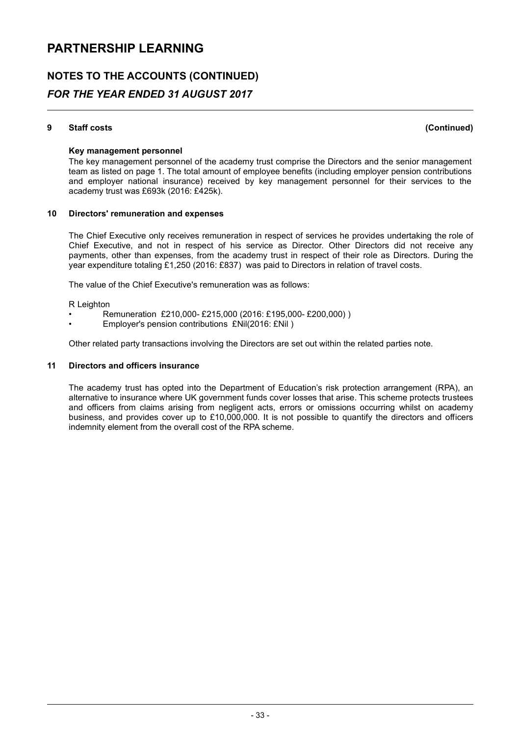### NOTES TO THE ACCOUNTS (CONTINUED) FOR THE YEAR ENDED 31 AUGUST 2017

#### 9 Staff costs (Continued)

#### Key management personnel

The key management personnel of the academy trust comprise the Directors and the senior management team as listed on page 1. The total amount of employee benefits (including employer pension contributions and employer national insurance) received by key management personnel for their services to the academy trust was £693k (2016: £425k).

#### 10 Directors' remuneration and expenses

The Chief Executive only receives remuneration in respect of services he provides undertaking the role of Chief Executive, and not in respect of his service as Director. Other Directors did not receive any payments, other than expenses, from the academy trust in respect of their role as Directors. During the year expenditure totaling £1,250 (2016: £837) was paid to Directors in relation of travel costs.

The value of the Chief Executive's remuneration was as follows:

R Leighton

- Remuneration £210,000- £215,000 (2016: £195,000- £200,000) )
- Employer's pension contributions £Nil(2016: £Nil )

Other related party transactions involving the Directors are set out within the related parties note.

#### 11 Directors and officers insurance

The academy trust has opted into the Department of Education's risk protection arrangement (RPA), an alternative to insurance where UK government funds cover losses that arise. This scheme protects trustees and officers from claims arising from negligent acts, errors or omissions occurring whilst on academy business, and provides cover up to £10,000,000. It is not possible to quantify the directors and officers indemnity element from the overall cost of the RPA scheme.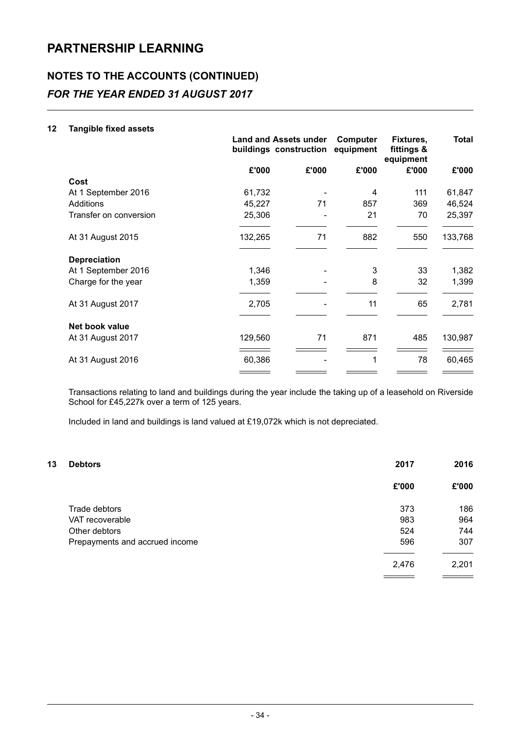# NOTES TO THE ACCOUNTS (CONTINUED) FOR THE YEAR ENDED 31 AUGUST 2017

#### 12 Tangible fixed assets

|                        |         | <b>Land and Assets under</b><br>buildings construction | <b>Computer</b><br>equipment | Fixtures,<br>fittings &<br>equipment | <b>Total</b> |
|------------------------|---------|--------------------------------------------------------|------------------------------|--------------------------------------|--------------|
|                        | £'000   | £'000                                                  | £'000                        | £'000                                | £'000        |
| Cost                   |         |                                                        |                              |                                      |              |
| At 1 September 2016    | 61,732  |                                                        | 4                            | 111                                  | 61,847       |
| Additions              | 45,227  | 71                                                     | 857                          | 369                                  | 46,524       |
| Transfer on conversion | 25,306  |                                                        | 21                           | 70                                   | 25,397       |
| At 31 August 2015      | 132,265 | 71                                                     | 882                          | 550                                  | 133,768      |
| <b>Depreciation</b>    |         |                                                        |                              |                                      |              |
| At 1 September 2016    | 1,346   |                                                        | 3                            | 33                                   | 1,382        |
| Charge for the year    | 1,359   |                                                        | 8                            | 32                                   | 1,399        |
| At 31 August 2017      | 2,705   |                                                        | 11                           | 65                                   | 2,781        |
| Net book value         |         |                                                        |                              |                                      |              |
| At 31 August 2017      | 129,560 | 71                                                     | 871                          | 485                                  | 130,987      |
| At 31 August 2016      | 60,386  |                                                        | 1                            | 78                                   | 60,465       |
|                        |         |                                                        |                              |                                      |              |

Transactions relating to land and buildings during the year include the taking up of a leasehold on Riverside School for £45,227k over a term of 125 years.

Included in land and buildings is land valued at £19,072k which is not depreciated.

| 13 | <b>Debtors</b>                 | 2017                     | 2016                       |
|----|--------------------------------|--------------------------|----------------------------|
|    |                                | £'000                    | £'000                      |
|    | Trade debtors                  | 373                      | 186                        |
|    | VAT recoverable                | 983                      | 964                        |
|    | Other debtors                  | 524                      | 744                        |
|    | Prepayments and accrued income | 596                      | 307                        |
|    |                                | 2,476                    | 2,201                      |
|    |                                | <b>Contract Contract</b> | the control of the control |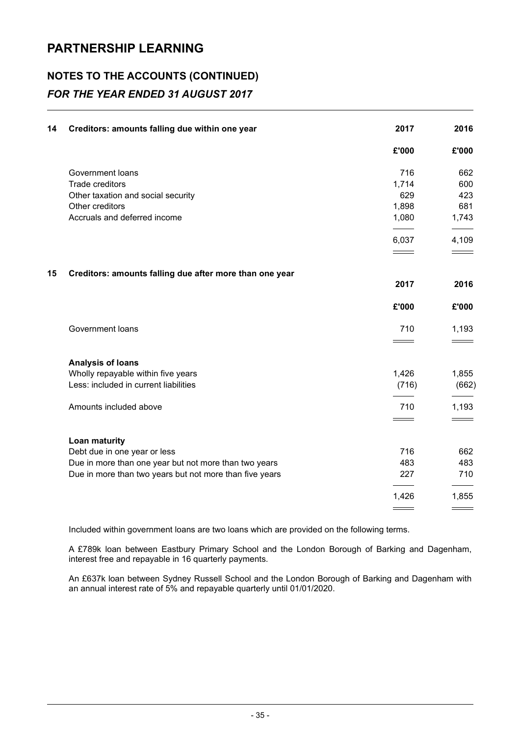### NOTES TO THE ACCOUNTS (CONTINUED) FOR THE YEAR ENDED 31 AUGUST 2017

| 14 | Creditors: amounts falling due within one year          | 2017                    | 2016               |
|----|---------------------------------------------------------|-------------------------|--------------------|
|    |                                                         | £'000                   | £'000              |
|    | Government loans                                        | 716                     | 662                |
|    | Trade creditors                                         | 1,714                   | 600                |
|    | Other taxation and social security                      | 629                     | 423                |
|    | Other creditors                                         | 1,898                   | 681                |
|    | Accruals and deferred income                            | 1,080                   | 1,743              |
|    |                                                         | 6,037                   | 4,109              |
|    |                                                         |                         |                    |
| 15 | Creditors: amounts falling due after more than one year |                         |                    |
|    |                                                         | 2017                    | 2016               |
|    |                                                         | £'000                   | £'000              |
|    | Government loans                                        | 710                     | 1,193              |
|    |                                                         | ___                     | $\hspace{1.5cm} =$ |
|    | <b>Analysis of loans</b>                                |                         |                    |
|    | Wholly repayable within five years                      | 1,426                   | 1,855              |
|    | Less: included in current liabilities                   | (716)                   | (662)              |
|    | Amounts included above                                  | 710                     | 1,193              |
|    |                                                         | ====                    | ====               |
|    | Loan maturity                                           |                         |                    |
|    | Debt due in one year or less                            | 716                     | 662                |
|    | Due in more than one year but not more than two years   | 483                     | 483                |
|    | Due in more than two years but not more than five years | 227                     | 710                |
|    |                                                         | 1,426                   | 1,855              |
|    |                                                         | the control of the con- | <b>Contract</b>    |

Included within government loans are two loans which are provided on the following terms.

A £789k loan between Eastbury Primary School and the London Borough of Barking and Dagenham, interest free and repayable in 16 quarterly payments.

An £637k loan between Sydney Russell School and the London Borough of Barking and Dagenham with an annual interest rate of 5% and repayable quarterly until 01/01/2020.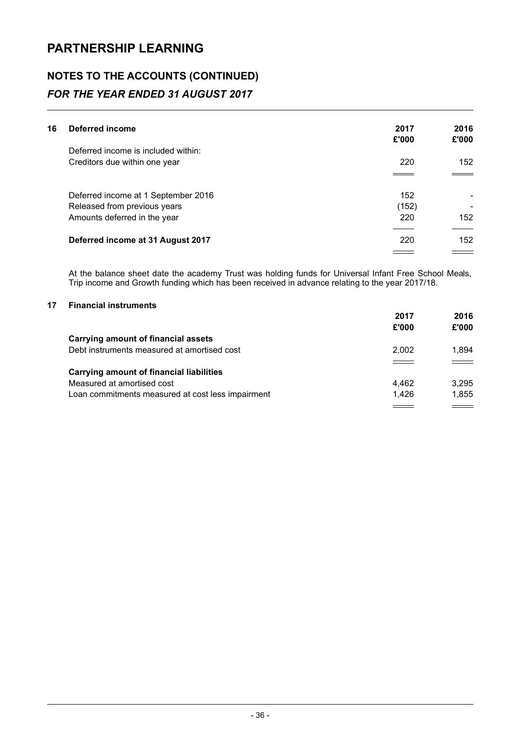## NOTES TO THE ACCOUNTS (CONTINUED) FOR THE YEAR ENDED 31 AUGUST 2017

| 16 | Deferred income                     | 2017<br>£'000 | 2016<br>£'000 |
|----|-------------------------------------|---------------|---------------|
|    | Deferred income is included within: |               |               |
|    | Creditors due within one year       | 220           | 152           |
|    |                                     |               |               |
|    | Deferred income at 1 September 2016 | 152           |               |
|    | Released from previous years        | (152)         |               |
|    | Amounts deferred in the year        | 220           | 152           |
|    | Deferred income at 31 August 2017   | 220           | 152           |
|    |                                     |               |               |
|    |                                     |               |               |

At the balance sheet date the academy Trust was holding funds for Universal Infant Free School Meals, Trip income and Growth funding which has been received in advance relating to the year 2017/18.

### 17 Financial instruments

|                                                   | 2017  | 2016  |
|---------------------------------------------------|-------|-------|
|                                                   | £'000 | £'000 |
| <b>Carrying amount of financial assets</b>        |       |       |
| Debt instruments measured at amortised cost       | 2.002 | 1.894 |
|                                                   |       | ————— |
| <b>Carrying amount of financial liabilities</b>   |       |       |
| Measured at amortised cost                        | 4.462 | 3.295 |
| Loan commitments measured at cost less impairment | 1.426 | 1,855 |
|                                                   |       |       |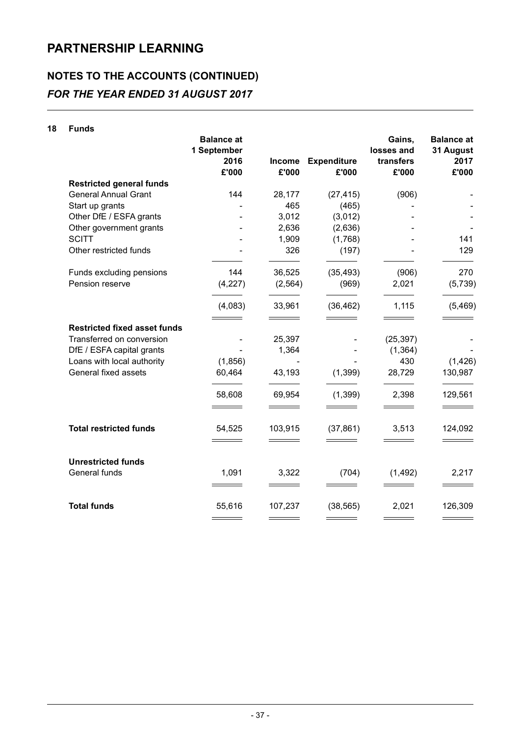# NOTES TO THE ACCOUNTS (CONTINUED) FOR THE YEAR ENDED 31 AUGUST 2017

#### 18 Funds

|                                     | <b>Balance at</b><br>1 September<br>2016<br>£'000 | Income<br>£'000                                                                                                                                                                                                                                                                                                                                                                                                                                                                      | <b>Expenditure</b><br>£'000           | Gains,<br>losses and<br>transfers<br>£'000 | <b>Balance</b> at<br>31 August<br>2017<br>£'000 |
|-------------------------------------|---------------------------------------------------|--------------------------------------------------------------------------------------------------------------------------------------------------------------------------------------------------------------------------------------------------------------------------------------------------------------------------------------------------------------------------------------------------------------------------------------------------------------------------------------|---------------------------------------|--------------------------------------------|-------------------------------------------------|
| <b>Restricted general funds</b>     |                                                   |                                                                                                                                                                                                                                                                                                                                                                                                                                                                                      |                                       |                                            |                                                 |
| <b>General Annual Grant</b>         | 144                                               | 28,177                                                                                                                                                                                                                                                                                                                                                                                                                                                                               | (27, 415)                             | (906)                                      |                                                 |
| Start up grants                     |                                                   | 465                                                                                                                                                                                                                                                                                                                                                                                                                                                                                  | (465)                                 |                                            |                                                 |
| Other DfE / ESFA grants             |                                                   | 3,012                                                                                                                                                                                                                                                                                                                                                                                                                                                                                | (3,012)                               |                                            |                                                 |
| Other government grants             |                                                   | 2,636                                                                                                                                                                                                                                                                                                                                                                                                                                                                                | (2,636)                               |                                            |                                                 |
| <b>SCITT</b>                        |                                                   | 1,909                                                                                                                                                                                                                                                                                                                                                                                                                                                                                | (1,768)                               |                                            | 141                                             |
| Other restricted funds              |                                                   | 326                                                                                                                                                                                                                                                                                                                                                                                                                                                                                  | (197)                                 |                                            | 129                                             |
| Funds excluding pensions            | 144                                               | 36,525                                                                                                                                                                                                                                                                                                                                                                                                                                                                               | (35, 493)                             | (906)                                      | 270                                             |
| Pension reserve                     | (4, 227)                                          | (2, 564)                                                                                                                                                                                                                                                                                                                                                                                                                                                                             | (969)                                 | 2,021                                      | (5,739)                                         |
|                                     | (4,083)                                           | 33,961<br>$  -$                                                                                                                                                                                                                                                                                                                                                                                                                                                                      | (36, 462)<br>$\overline{\phantom{a}}$ | 1,115                                      | (5,469)                                         |
| <b>Restricted fixed asset funds</b> |                                                   |                                                                                                                                                                                                                                                                                                                                                                                                                                                                                      |                                       | $\overline{\phantom{a}}$                   |                                                 |
| Transferred on conversion           |                                                   | 25,397                                                                                                                                                                                                                                                                                                                                                                                                                                                                               |                                       | (25, 397)                                  |                                                 |
| DfE / ESFA capital grants           |                                                   | 1,364                                                                                                                                                                                                                                                                                                                                                                                                                                                                                |                                       | (1, 364)                                   |                                                 |
| Loans with local authority          | (1,856)                                           |                                                                                                                                                                                                                                                                                                                                                                                                                                                                                      |                                       | 430                                        | (1,426)                                         |
| General fixed assets                | 60,464                                            | 43,193                                                                                                                                                                                                                                                                                                                                                                                                                                                                               | (1, 399)                              | 28,729                                     | 130,987                                         |
|                                     | 58,608                                            | 69,954<br>$\frac{1}{2} \left( \frac{1}{2} \right) \left( \frac{1}{2} \right) \left( \frac{1}{2} \right) \left( \frac{1}{2} \right) \left( \frac{1}{2} \right) \left( \frac{1}{2} \right) \left( \frac{1}{2} \right) \left( \frac{1}{2} \right) \left( \frac{1}{2} \right) \left( \frac{1}{2} \right) \left( \frac{1}{2} \right) \left( \frac{1}{2} \right) \left( \frac{1}{2} \right) \left( \frac{1}{2} \right) \left( \frac{1}{2} \right) \left( \frac{1}{2} \right) \left( \frac$ | (1, 399)                              | 2,398                                      | 129,561                                         |
| <b>Total restricted funds</b>       | 54,525                                            | 103,915                                                                                                                                                                                                                                                                                                                                                                                                                                                                              | (37, 861)                             | 3,513                                      | 124,092                                         |
|                                     |                                                   |                                                                                                                                                                                                                                                                                                                                                                                                                                                                                      |                                       |                                            |                                                 |
| <b>Unrestricted funds</b>           |                                                   |                                                                                                                                                                                                                                                                                                                                                                                                                                                                                      |                                       |                                            |                                                 |
| General funds                       | 1,091                                             | 3,322                                                                                                                                                                                                                                                                                                                                                                                                                                                                                | (704)                                 | (1, 492)                                   | 2,217                                           |
| <b>Total funds</b>                  | 55,616                                            | 107,237                                                                                                                                                                                                                                                                                                                                                                                                                                                                              | (38, 565)                             | 2,021                                      | 126,309                                         |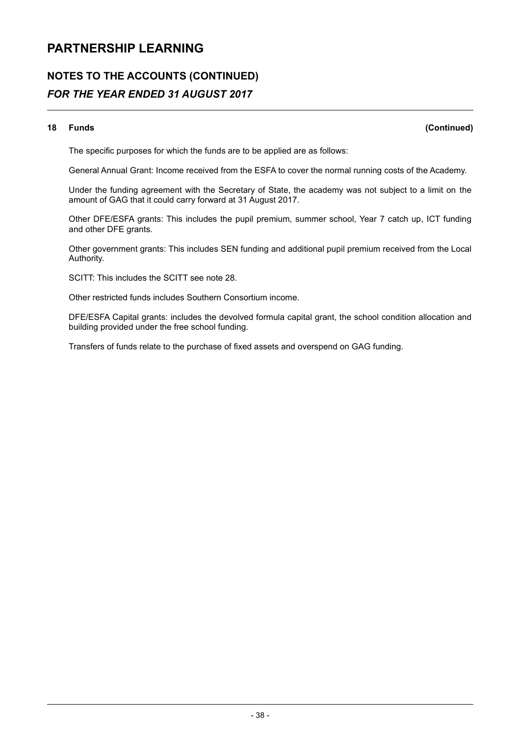# NOTES TO THE ACCOUNTS (CONTINUED) FOR THE YEAR ENDED 31 AUGUST 2017

#### 18 Funds (Continued)

The specific purposes for which the funds are to be applied are as follows:

General Annual Grant: Income received from the ESFA to cover the normal running costs of the Academy.

Under the funding agreement with the Secretary of State, the academy was not subject to a limit on the amount of GAG that it could carry forward at 31 August 2017.

Other DFE/ESFA grants: This includes the pupil premium, summer school, Year 7 catch up, ICT funding and other DFE grants.

Other government grants: This includes SEN funding and additional pupil premium received from the Local Authority.

SCITT: This includes the SCITT see note 28.

Other restricted funds includes Southern Consortium income.

DFE/ESFA Capital grants: includes the devolved formula capital grant, the school condition allocation and building provided under the free school funding.

Transfers of funds relate to the purchase of fixed assets and overspend on GAG funding.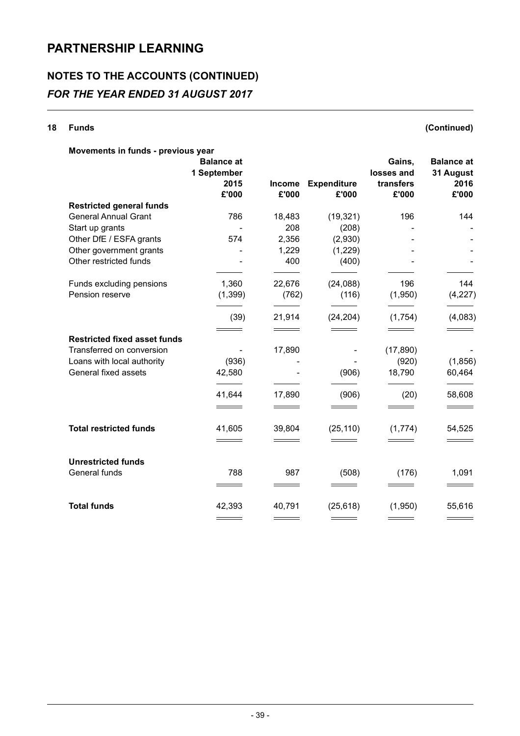# NOTES TO THE ACCOUNTS (CONTINUED) FOR THE YEAR ENDED 31 AUGUST 2017

18 Funds (Continued)

| Movements in funds - previous year  |                                  |                                   |                             |                      |                                |
|-------------------------------------|----------------------------------|-----------------------------------|-----------------------------|----------------------|--------------------------------|
|                                     | <b>Balance at</b><br>1 September |                                   |                             | Gains,<br>losses and | <b>Balance at</b><br>31 August |
|                                     | 2015<br>£'000                    | <b>Income</b><br>£'000            | <b>Expenditure</b><br>£'000 | transfers<br>£'000   | 2016<br>£'000                  |
| <b>Restricted general funds</b>     |                                  |                                   |                             |                      |                                |
| <b>General Annual Grant</b>         | 786                              | 18,483                            | (19, 321)                   | 196                  | 144                            |
| Start up grants                     |                                  | 208                               | (208)                       |                      |                                |
| Other DfE / ESFA grants             | 574                              | 2,356                             | (2,930)                     |                      |                                |
| Other government grants             |                                  | 1,229                             | (1,229)                     |                      |                                |
| Other restricted funds              |                                  | 400                               | (400)                       |                      |                                |
| Funds excluding pensions            | 1,360                            | 22,676                            | (24, 088)                   | 196                  | 144                            |
| Pension reserve                     | (1, 399)                         | (762)                             | (116)                       | (1,950)              | (4, 227)                       |
|                                     | (39)                             | 21,914                            | (24, 204)                   | (1,754)              | (4,083)                        |
|                                     |                                  |                                   |                             |                      |                                |
| <b>Restricted fixed asset funds</b> |                                  |                                   |                             |                      |                                |
| Transferred on conversion           |                                  | 17,890                            |                             | (17, 890)            |                                |
| Loans with local authority          | (936)                            |                                   |                             | (920)                | (1,856)                        |
| General fixed assets                | 42,580                           |                                   | (906)                       | 18,790               | 60,464                         |
|                                     | 41,644                           | 17,890                            | (906)                       | (20)                 | 58,608                         |
|                                     |                                  |                                   |                             |                      |                                |
| <b>Total restricted funds</b>       | 41,605                           | 39,804                            | (25, 110)                   | (1,774)              | 54,525                         |
|                                     | $\equiv$ $\equiv$                | $\overline{\phantom{a}}$          | $\equiv$ $\equiv$           | $\equiv$ $\equiv$    | $\qquad \qquad =$              |
| <b>Unrestricted funds</b>           |                                  |                                   |                             |                      |                                |
| General funds                       | 788                              | 987<br>$\equiv$ $\equiv$ $\equiv$ | (508)                       | (176)                | 1,091                          |
|                                     |                                  |                                   |                             |                      |                                |
| <b>Total funds</b>                  | 42,393                           | 40,791                            | (25, 618)                   | (1,950)              | 55,616                         |
|                                     |                                  |                                   |                             |                      |                                |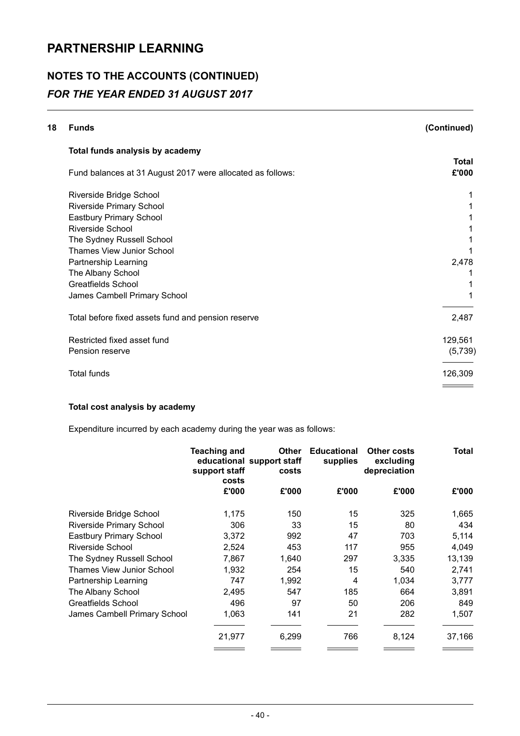# NOTES TO THE ACCOUNTS (CONTINUED) FOR THE YEAR ENDED 31 AUGUST 2017

| 18 | <b>Funds</b>                                               | (Continued)           |
|----|------------------------------------------------------------|-----------------------|
|    | Total funds analysis by academy                            |                       |
|    | Fund balances at 31 August 2017 were allocated as follows: | <b>Total</b><br>£'000 |
|    | Riverside Bridge School                                    |                       |
|    | Riverside Primary School                                   |                       |
|    | Eastbury Primary School                                    |                       |
|    | Riverside School                                           |                       |
|    | The Sydney Russell School                                  |                       |
|    | Thames View Junior School                                  |                       |
|    | Partnership Learning                                       | 2,478                 |
|    | The Albany School                                          |                       |
|    | <b>Greatfields School</b>                                  |                       |
|    | James Cambell Primary School                               |                       |
|    | Total before fixed assets fund and pension reserve         | 2,487                 |
|    | Restricted fixed asset fund                                | 129,561               |
|    | Pension reserve                                            | (5,739)               |
|    | <b>Total funds</b>                                         | 126,309               |
|    |                                                            |                       |

### Total cost analysis by academy

Expenditure incurred by each academy during the year was as follows:

|                              | <b>Teaching and</b><br>support staff<br>costs | Other<br>educational support staff<br>costs | <b>Educational</b><br>supplies | Other costs<br>excluding<br>depreciation | <b>Total</b> |
|------------------------------|-----------------------------------------------|---------------------------------------------|--------------------------------|------------------------------------------|--------------|
|                              | £'000                                         | £'000                                       | £'000                          | £'000                                    | £'000        |
| Riverside Bridge School      | 1,175                                         | 150                                         | 15                             | 325                                      | 1,665        |
| Riverside Primary School     | 306                                           | 33                                          | 15                             | 80                                       | 434          |
| Eastbury Primary School      | 3,372                                         | 992                                         | 47                             | 703                                      | 5,114        |
| Riverside School             | 2,524                                         | 453                                         | 117                            | 955                                      | 4,049        |
| The Sydney Russell School    | 7,867                                         | 1,640                                       | 297                            | 3,335                                    | 13,139       |
| Thames View Junior School    | 1,932                                         | 254                                         | 15                             | 540                                      | 2,741        |
| Partnership Learning         | 747                                           | 1,992                                       | 4                              | 1,034                                    | 3,777        |
| The Albany School            | 2,495                                         | 547                                         | 185                            | 664                                      | 3,891        |
| Greatfields School           | 496                                           | 97                                          | 50                             | 206                                      | 849          |
| James Cambell Primary School | 1,063                                         | 141                                         | 21                             | 282                                      | 1,507        |
|                              | 21,977                                        | 6,299                                       | 766                            | 8,124                                    | 37,166       |
|                              |                                               |                                             |                                |                                          |              |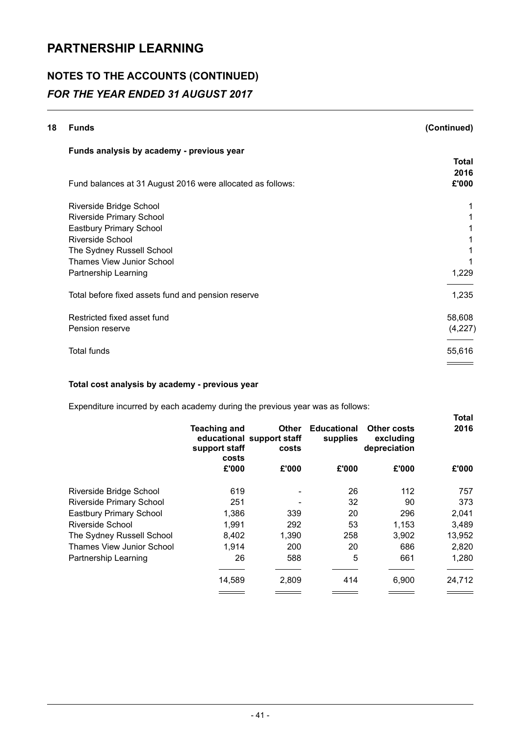# NOTES TO THE ACCOUNTS (CONTINUED) FOR THE YEAR ENDED 31 AUGUST 2017

| 18 | <b>Funds</b>                                               | (Continued) |
|----|------------------------------------------------------------|-------------|
|    | Funds analysis by academy - previous year                  |             |
|    |                                                            | Total       |
|    |                                                            | 2016        |
|    | Fund balances at 31 August 2016 were allocated as follows: | £'000       |
|    | Riverside Bridge School                                    |             |
|    | Riverside Primary School                                   |             |
|    | Eastbury Primary School                                    |             |
|    | <b>Riverside School</b>                                    |             |
|    | The Sydney Russell School                                  |             |
|    | <b>Thames View Junior School</b>                           |             |
|    | Partnership Learning                                       | 1,229       |
|    | Total before fixed assets fund and pension reserve         | 1,235       |
|    | Restricted fixed asset fund                                | 58,608      |
|    | Pension reserve                                            | (4,227)     |
|    | <b>Total funds</b>                                         | 55,616      |
|    |                                                            |             |

### Total cost analysis by academy - previous year

Expenditure incurred by each academy during the previous year was as follows:

|                                 |                                        |                                             |                                |                                          | <b>Total</b> |
|---------------------------------|----------------------------------------|---------------------------------------------|--------------------------------|------------------------------------------|--------------|
|                                 | Teaching and<br>support staff<br>costs | Other<br>educational support staff<br>costs | <b>Educational</b><br>supplies | Other costs<br>excluding<br>depreciation | 2016         |
|                                 | £'000                                  | £'000                                       | £'000                          | £'000                                    | £'000        |
| Riverside Bridge School         | 619                                    |                                             | 26                             | 112                                      | 757          |
| <b>Riverside Primary School</b> | 251                                    |                                             | 32                             | 90                                       | 373          |
| Eastbury Primary School         | 1,386                                  | 339                                         | 20                             | 296                                      | 2,041        |
| Riverside School                | 1,991                                  | 292                                         | 53                             | 1,153                                    | 3,489        |
| The Sydney Russell School       | 8,402                                  | 1,390                                       | 258                            | 3.902                                    | 13,952       |
| Thames View Junior School       | 1,914                                  | 200                                         | 20                             | 686                                      | 2,820        |
| Partnership Learning            | 26                                     | 588                                         | 5                              | 661                                      | 1,280        |
|                                 | 14,589                                 | 2,809                                       | 414                            | 6,900                                    | 24,712       |
|                                 |                                        |                                             |                                |                                          |              |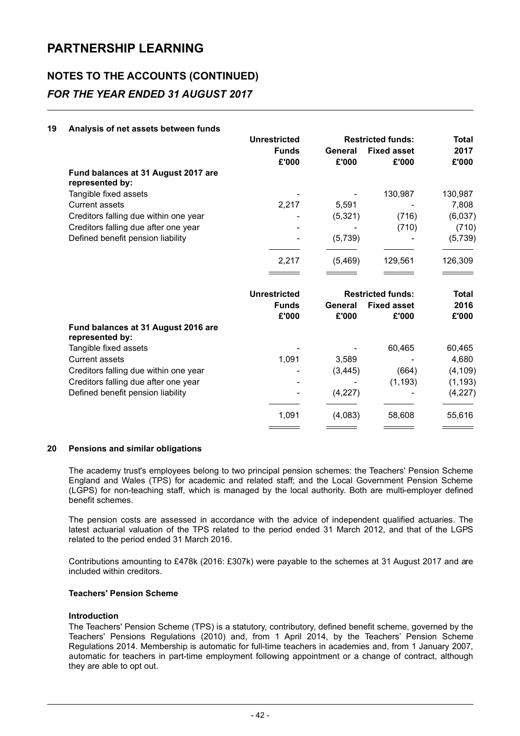## NOTES TO THE ACCOUNTS (CONTINUED) FOR THE YEAR ENDED 31 AUGUST 2017

#### 19 Analysis of net assets between funds

|                                                        | <b>Unrestricted</b> |          | <b>Restricted funds:</b> | <b>Total</b> |
|--------------------------------------------------------|---------------------|----------|--------------------------|--------------|
|                                                        | <b>Funds</b>        | General  | <b>Fixed asset</b>       | 2017         |
|                                                        | £'000               | £'000    | £'000                    | £'000        |
| Fund balances at 31 August 2017 are<br>represented by: |                     |          |                          |              |
| Tangible fixed assets                                  |                     |          | 130,987                  | 130,987      |
| <b>Current assets</b>                                  | 2,217               | 5,591    |                          | 7,808        |
| Creditors falling due within one year                  |                     | (5,321)  | (716)                    | (6,037)      |
| Creditors falling due after one year                   |                     |          | (710)                    | (710)        |
| Defined benefit pension liability                      |                     | (5,739)  |                          | (5,739)      |
|                                                        | 2,217               | (5, 469) | 129,561                  | 126,309      |
|                                                        |                     |          |                          |              |
|                                                        | <b>Unrestricted</b> |          | <b>Restricted funds:</b> | Total        |
|                                                        | <b>Funds</b>        | General  | <b>Fixed asset</b>       | 2016         |
|                                                        | £'000               | £'000    | £'000                    | £'000        |
| Fund balances at 31 August 2016 are<br>represented by: |                     |          |                          |              |
| Tangible fixed assets                                  |                     |          | 60,465                   | 60,465       |
| <b>Current assets</b>                                  | 1,091               | 3,589    |                          | 4,680        |
| Creditors falling due within one year                  |                     | (3, 445) | (664)                    | (4, 109)     |
| Creditors falling due after one year                   |                     |          | (1, 193)                 | (1, 193)     |
| Defined benefit pension liability                      |                     | (4, 227) |                          | (4,227)      |

#### 20 Pensions and similar obligations

The academy trust's employees belong to two principal pension schemes: the Teachers' Pension Scheme England and Wales (TPS) for academic and related staff; and the Local Government Pension Scheme (LGPS) for non-teaching staff, which is managed by the local authority. Both are multi-employer defined benefit schemes.

1,091 (4,083) 58,608 55,616

The pension costs are assessed in accordance with the advice of independent qualified actuaries. The latest actuarial valuation of the TPS related to the period ended 31 March 2012, and that of the LGPS related to the period ended 31 March 2016.

Contributions amounting to £478k (2016: £307k) were payable to the schemes at 31 August 2017 and are included within creditors.

#### Teachers' Pension Scheme

#### Introduction

The Teachers' Pension Scheme (TPS) is a statutory, contributory, defined benefit scheme, governed by the Teachers' Pensions Regulations (2010) and, from 1 April 2014, by the Teachers' Pension Scheme Regulations 2014. Membership is automatic for full-time teachers in academies and, from 1 January 2007, automatic for teachers in part-time employment following appointment or a change of contract, although they are able to opt out.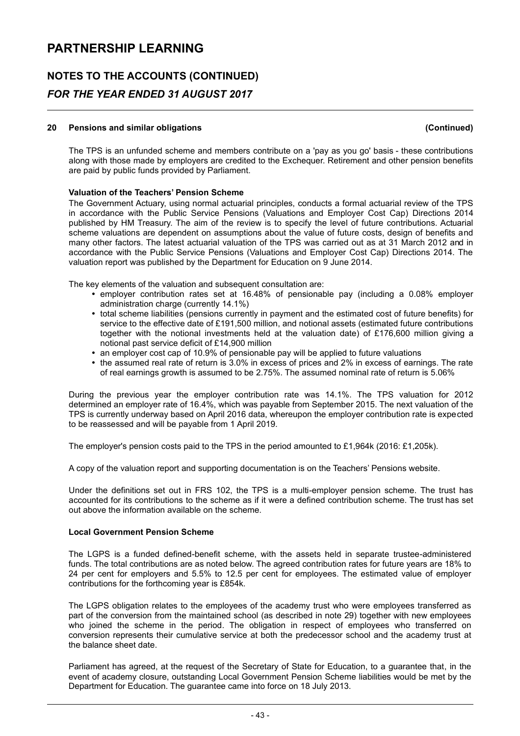## NOTES TO THE ACCOUNTS (CONTINUED) FOR THE YEAR ENDED 31 AUGUST 2017

#### 20 Pensions and similar obligations (Continued)

The TPS is an unfunded scheme and members contribute on a 'pay as you go' basis - these contributions along with those made by employers are credited to the Exchequer. Retirement and other pension benefits are paid by public funds provided by Parliament.

#### Valuation of the Teachers' Pension Scheme

The Government Actuary, using normal actuarial principles, conducts a formal actuarial review of the TPS in accordance with the Public Service Pensions (Valuations and Employer Cost Cap) Directions 2014 published by HM Treasury. The aim of the review is to specify the level of future contributions. Actuarial scheme valuations are dependent on assumptions about the value of future costs, design of benefits and many other factors. The latest actuarial valuation of the TPS was carried out as at 31 March 2012 and in accordance with the Public Service Pensions (Valuations and Employer Cost Cap) Directions 2014. The valuation report was published by the Department for Education on 9 June 2014.

The key elements of the valuation and subsequent consultation are:

- $\cdot$  employer contribution rates set at 16.48% of pensionable pay (including a 0.08% employer administration charge (currently 14.1%)
- total scheme liabilities (pensions currently in payment and the estimated cost of future benefits) for service to the effective date of £191,500 million, and notional assets (estimated future contributions together with the notional investments held at the valuation date) of £176,600 million giving a notional past service deficit of £14,900 million
- an employer cost cap of 10.9% of pensionable pay will be applied to future valuations
- the assumed real rate of return is 3.0% in excess of prices and 2% in excess of earnings. The rate of real earnings growth is assumed to be 2.75%. The assumed nominal rate of return is 5.06%

During the previous year the employer contribution rate was 14.1%. The TPS valuation for 2012 determined an employer rate of 16.4%, which was payable from September 2015. The next valuation of the TPS is currently underway based on April 2016 data, whereupon the employer contribution rate is expected to be reassessed and will be payable from 1 April 2019.

The employer's pension costs paid to the TPS in the period amounted to £1,964k (2016: £1,205k).

A copy of the valuation report and supporting documentation is on the Teachers' Pensions website.

Under the definitions set out in FRS 102, the TPS is a multi-employer pension scheme. The trust has accounted for its contributions to the scheme as if it were a defined contribution scheme. The trust has set out above the information available on the scheme.

#### Local Government Pension Scheme

The LGPS is a funded defined-benefit scheme, with the assets held in separate trustee-administered funds. The total contributions are as noted below. The agreed contribution rates for future years are 18% to 24 per cent for employers and 5.5% to 12.5 per cent for employees. The estimated value of employer contributions for the forthcoming year is £854k.

The LGPS obligation relates to the employees of the academy trust who were employees transferred as part of the conversion from the maintained school (as described in note 29) together with new employees who joined the scheme in the period. The obligation in respect of employees who transferred on conversion represents their cumulative service at both the predecessor school and the academy trust at the balance sheet date.

Parliament has agreed, at the request of the Secretary of State for Education, to a guarantee that, in the event of academy closure, outstanding Local Government Pension Scheme liabilities would be met by the Department for Education. The guarantee came into force on 18 July 2013.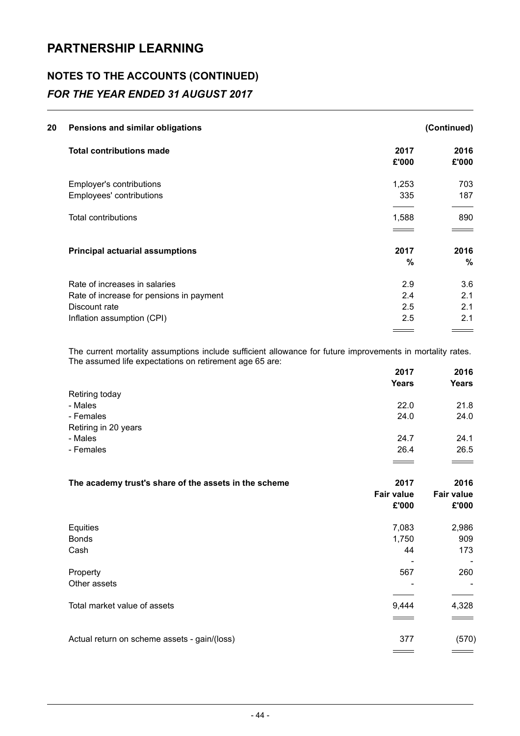## NOTES TO THE ACCOUNTS (CONTINUED) FOR THE YEAR ENDED 31 AUGUST 2017

| 20 | Pensions and similar obligations         |               | (Continued)   |
|----|------------------------------------------|---------------|---------------|
|    | <b>Total contributions made</b>          | 2017<br>£'000 | 2016<br>£'000 |
|    | Employer's contributions                 | 1,253         | 703           |
|    | Employees' contributions                 | 335           | 187           |
|    | Total contributions                      | 1,588         | 890           |
|    | <b>Principal actuarial assumptions</b>   | 2017          | 2016          |
|    |                                          | $\frac{0}{0}$ | %             |
|    | Rate of increases in salaries            | 2.9           | 3.6           |
|    | Rate of increase for pensions in payment | 2.4           | 2.1           |
|    | Discount rate                            | 2.5           | 2.1           |
|    | Inflation assumption (CPI)               | 2.5           | 2.1           |

The current mortality assumptions include sufficient allowance for future improvements in mortality rates. The assumed life expectations on retirement age 65 are:

|                      | 2017         | 2016<br><b>Years</b> |
|----------------------|--------------|----------------------|
|                      | <b>Years</b> |                      |
| Retiring today       |              |                      |
| - Males              | 22.0         | 21.8                 |
| - Females            | 24.0         | 24.0                 |
| Retiring in 20 years |              |                      |
| - Males              | 24.7         | 24.1                 |
| - Females            | 26.4         | 26.5                 |
|                      |              |                      |

| The academy trust's share of the assets in the scheme | 2017<br><b>Fair value</b><br>£'000 | 2016<br><b>Fair value</b><br>£'000 |
|-------------------------------------------------------|------------------------------------|------------------------------------|
| Equities                                              | 7,083                              | 2,986                              |
| <b>Bonds</b>                                          | 1,750                              | 909                                |
| Cash                                                  | 44                                 | 173                                |
|                                                       |                                    |                                    |
| Property                                              | 567                                | 260                                |
| Other assets                                          |                                    |                                    |
| Total market value of assets                          | 9,444                              | 4,328                              |
|                                                       |                                    |                                    |
| Actual return on scheme assets - gain/(loss)          | 377                                | (570)                              |
|                                                       |                                    |                                    |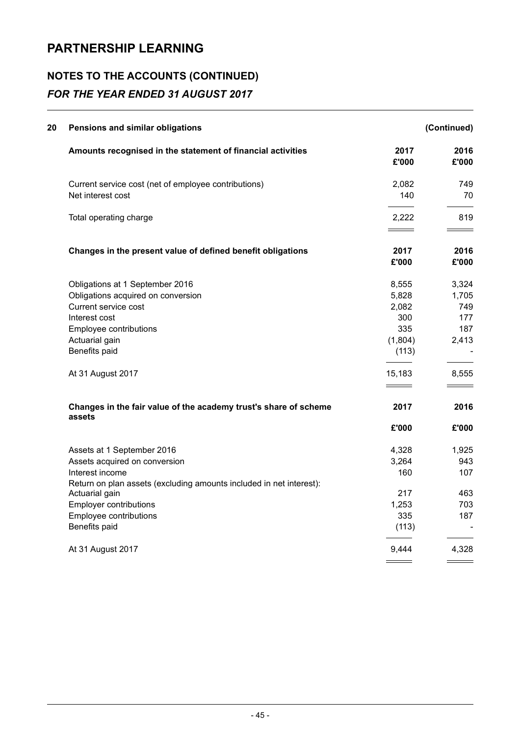# NOTES TO THE ACCOUNTS (CONTINUED) FOR THE YEAR ENDED 31 AUGUST 2017

| Pensions and similar obligations                                           |                             | (Continued)   |
|----------------------------------------------------------------------------|-----------------------------|---------------|
| Amounts recognised in the statement of financial activities                | 2017<br>£'000               | 2016<br>£'000 |
| Current service cost (net of employee contributions)<br>Net interest cost  | 2,082<br>140                | 749<br>70     |
| Total operating charge                                                     | 2,222<br>$\sim$             | 819           |
| Changes in the present value of defined benefit obligations                | 2017<br>£'000               | 2016<br>£'000 |
| Obligations at 1 September 2016                                            | 8,555                       | 3,324         |
| Obligations acquired on conversion                                         | 5,828                       | 1,705         |
| Current service cost                                                       | 2,082                       | 749           |
| Interest cost                                                              | 300                         | 177           |
| Employee contributions                                                     | 335                         | 187           |
| Actuarial gain                                                             | (1,804)                     | 2,413         |
| Benefits paid                                                              | (113)                       |               |
| At 31 August 2017                                                          | 15,183<br>$\qquad \qquad =$ | 8,555         |
| Changes in the fair value of the academy trust's share of scheme<br>assets | 2017                        | 2016          |
|                                                                            | £'000                       | £'000         |
| Assets at 1 September 2016                                                 | 4,328                       | 1,925         |
| Assets acquired on conversion                                              | 3,264                       | 943           |
| Interest income                                                            | 160                         | 107           |
| Return on plan assets (excluding amounts included in net interest):        |                             |               |
| Actuarial gain                                                             | 217                         | 463           |
| <b>Employer contributions</b>                                              | 1,253                       | 703           |
| Employee contributions                                                     | 335                         | 187           |
| Benefits paid                                                              | (113)                       |               |
| At 31 August 2017                                                          | 9,444                       | 4,328         |
|                                                                            |                             |               |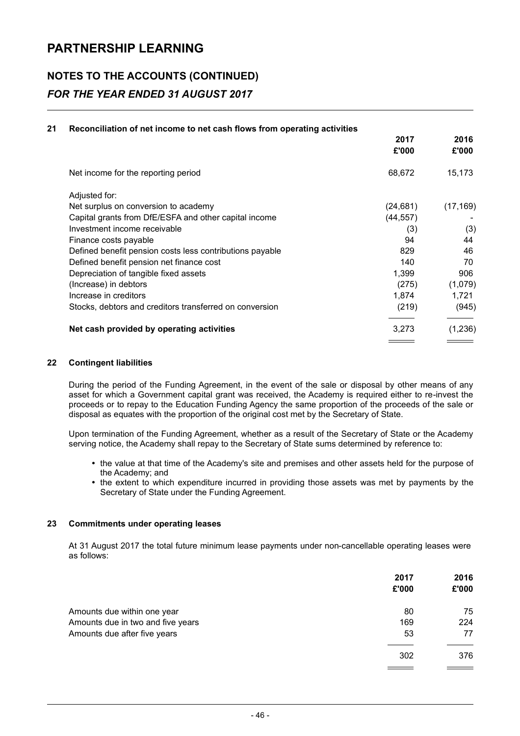### NOTES TO THE ACCOUNTS (CONTINUED)

FOR THE YEAR ENDED 31 AUGUST 2017

| Reconciliation of net income to net cash flows from operating activities |               |               |  |
|--------------------------------------------------------------------------|---------------|---------------|--|
|                                                                          | 2017<br>£'000 | 2016<br>£'000 |  |
| Net income for the reporting period                                      | 68,672        | 15,173        |  |
| Adjusted for:                                                            |               |               |  |
| Net surplus on conversion to academy                                     | (24, 681)     | (17, 169)     |  |
| Capital grants from DfE/ESFA and other capital income                    | (44, 557)     |               |  |
| Investment income receivable                                             | (3)           | (3)           |  |
| Finance costs payable                                                    | 94            | 44            |  |
| Defined benefit pension costs less contributions payable                 | 829           | 46            |  |
| Defined benefit pension net finance cost                                 | 140           | 70            |  |
| Depreciation of tangible fixed assets                                    | 1,399         | 906           |  |
| (Increase) in debtors                                                    | (275)         | (1,079)       |  |
| Increase in creditors                                                    | 1,874         | 1,721         |  |
| Stocks, debtors and creditors transferred on conversion                  | (219)         | (945)         |  |
| Net cash provided by operating activities                                | 3,273         | (1,236)       |  |
|                                                                          |               |               |  |

#### 22 Contingent liabilities

During the period of the Funding Agreement, in the event of the sale or disposal by other means of any asset for which a Government capital grant was received, the Academy is required either to re-invest the proceeds or to repay to the Education Funding Agency the same proportion of the proceeds of the sale or disposal as equates with the proportion of the original cost met by the Secretary of State.

Upon termination of the Funding Agreement, whether as a result of the Secretary of State or the Academy serving notice, the Academy shall repay to the Secretary of State sums determined by reference to:

- the value at that time of the Academy's site and premises and other assets held for the purpose of the Academy; and
- the extent to which expenditure incurred in providing those assets was met by payments by the Secretary of State under the Funding Agreement.

#### 23 Commitments under operating leases

At 31 August 2017 the total future minimum lease payments under non-cancellable operating leases were as follows:

|                                   | 2017<br>£'000 | 2016<br>£'000 |
|-----------------------------------|---------------|---------------|
| Amounts due within one year       | 80            | 75            |
| Amounts due in two and five years | 169           | 224           |
| Amounts due after five years      | 53            | 77            |
|                                   | 302           | 376           |
|                                   |               |               |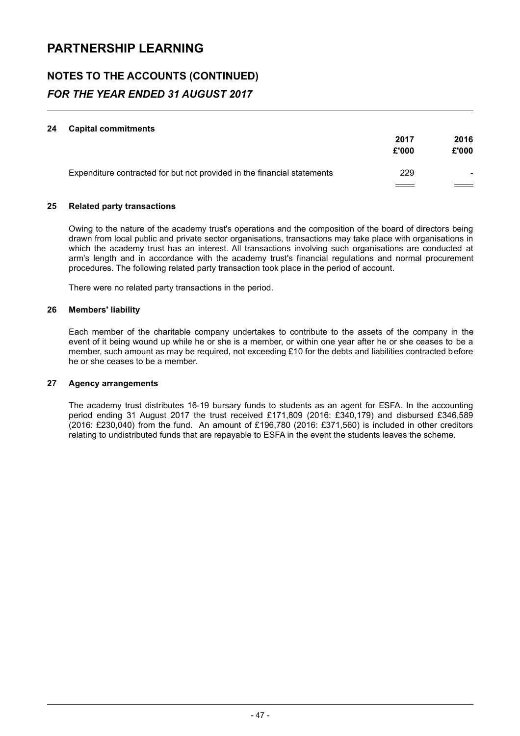## NOTES TO THE ACCOUNTS (CONTINUED) FOR THE YEAR ENDED 31 AUGUST 2017

#### 24 Capital commitments

|                                                                         | 2017<br>£'000 | 2016<br>£'000            |
|-------------------------------------------------------------------------|---------------|--------------------------|
| Expenditure contracted for but not provided in the financial statements | 229           | $\overline{\phantom{0}}$ |
|                                                                         |               |                          |

#### 25 Related party transactions

Owing to the nature of the academy trust's operations and the composition of the board of directors being drawn from local public and private sector organisations, transactions may take place with organisations in which the academy trust has an interest. All transactions involving such organisations are conducted at arm's length and in accordance with the academy trust's financial regulations and normal procurement procedures. The following related party transaction took place in the period of account.

There were no related party transactions in the period.

#### 26 Members' liability

Each member of the charitable company undertakes to contribute to the assets of the company in the event of it being wound up while he or she is a member, or within one year after he or she ceases to be a member, such amount as may be required, not exceeding £10 for the debts and liabilities contracted before he or she ceases to be a member.

#### 27 Agency arrangements

The academy trust distributes 16-19 bursary funds to students as an agent for ESFA. In the accounting period ending 31 August 2017 the trust received £171,809 (2016: £340,179) and disbursed £346,589 (2016: £230,040) from the fund. An amount of £196,780 (2016: £371,560) is included in other creditors relating to undistributed funds that are repayable to ESFA in the event the students leaves the scheme.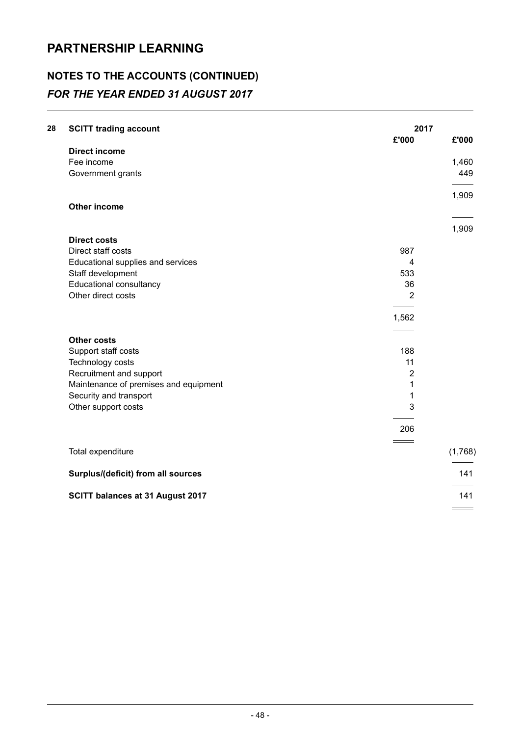# NOTES TO THE ACCOUNTS (CONTINUED) FOR THE YEAR ENDED 31 AUGUST 2017

| 28 | <b>SCITT trading account</b>          | 2017           |         |
|----|---------------------------------------|----------------|---------|
|    | <b>Direct income</b>                  | £'000          | £'000   |
|    | Fee income                            |                | 1,460   |
|    | Government grants                     |                | 449     |
|    |                                       |                | 1,909   |
|    | <b>Other income</b>                   |                |         |
|    |                                       |                | 1,909   |
|    | <b>Direct costs</b>                   |                |         |
|    | Direct staff costs                    | 987            |         |
|    | Educational supplies and services     | 4              |         |
|    | Staff development                     | 533            |         |
|    | <b>Educational consultancy</b>        | 36             |         |
|    | Other direct costs                    | $\overline{2}$ |         |
|    |                                       | 1,562          |         |
|    |                                       |                |         |
|    | <b>Other costs</b>                    |                |         |
|    | Support staff costs                   | 188            |         |
|    | Technology costs                      | 11             |         |
|    | Recruitment and support               | $\overline{2}$ |         |
|    | Maintenance of premises and equipment | 1              |         |
|    | Security and transport                | 1              |         |
|    | Other support costs                   | 3              |         |
|    |                                       | 206            |         |
|    | Total expenditure                     |                | (1,768) |
|    | Surplus/(deficit) from all sources    |                | 141     |
|    | SCITT balances at 31 August 2017      |                | 141     |
|    |                                       |                |         |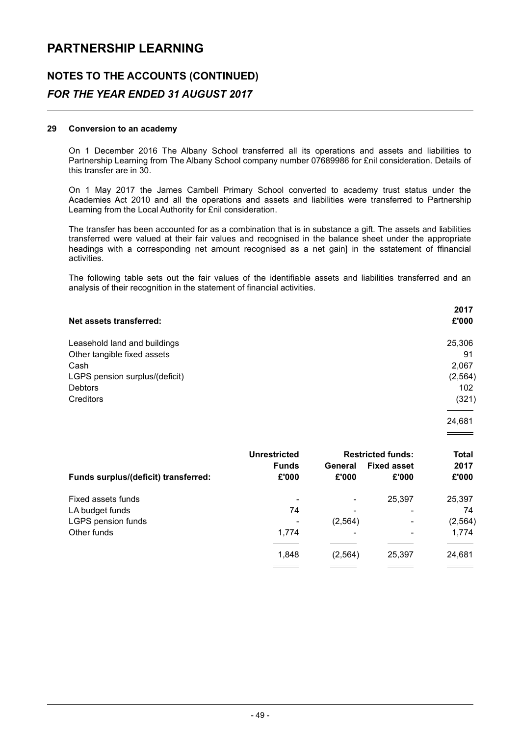### NOTES TO THE ACCOUNTS (CONTINUED)

### FOR THE YEAR ENDED 31 AUGUST 2017

#### 29 Conversion to an academy

On 1 December 2016 The Albany School transferred all its operations and assets and liabilities to Partnership Learning from The Albany School company number 07689986 for £nil consideration. Details of this transfer are in 30.

On 1 May 2017 the James Cambell Primary School converted to academy trust status under the Academies Act 2010 and all the operations and assets and liabilities were transferred to Partnership Learning from the Local Authority for £nil consideration.

The transfer has been accounted for as a combination that is in substance a gift. The assets and liabilities transferred were valued at their fair values and recognised in the balance sheet under the appropriate headings with a corresponding net amount recognised as a net gain] in the sstatement of ffinancial activities.

The following table sets out the fair values of the identifiable assets and liabilities transferred and an analysis of their recognition in the statement of financial activities.

|                                | 2017     |
|--------------------------------|----------|
| Net assets transferred:        | £'000    |
| Leasehold land and buildings   | 25,306   |
| Other tangible fixed assets    | 91       |
| Cash                           | 2,067    |
| LGPS pension surplus/(deficit) | (2, 564) |
| <b>Debtors</b>                 | 102      |
| <b>Creditors</b>               | (321)    |
|                                |          |

|                                      | Unrestricted          |                              | <b>Restricted funds:</b>    |               |
|--------------------------------------|-----------------------|------------------------------|-----------------------------|---------------|
| Funds surplus/(deficit) transferred: | <b>Funds</b><br>£'000 | General<br>£'000             | <b>Fixed asset</b><br>£'000 | 2017<br>£'000 |
| Fixed assets funds                   | ٠                     | $\qquad \qquad \blacksquare$ | 25,397                      | 25,397        |
| LA budget funds                      | 74                    | -                            |                             | 74            |
| LGPS pension funds                   | ۰                     | (2, 564)                     | -                           | (2, 564)      |
| Other funds                          | 1,774                 | -                            | -                           | 1,774         |
|                                      |                       |                              |                             |               |
|                                      | 1,848                 | (2, 564)                     | 25,397                      | 24,681        |
|                                      |                       |                              |                             |               |